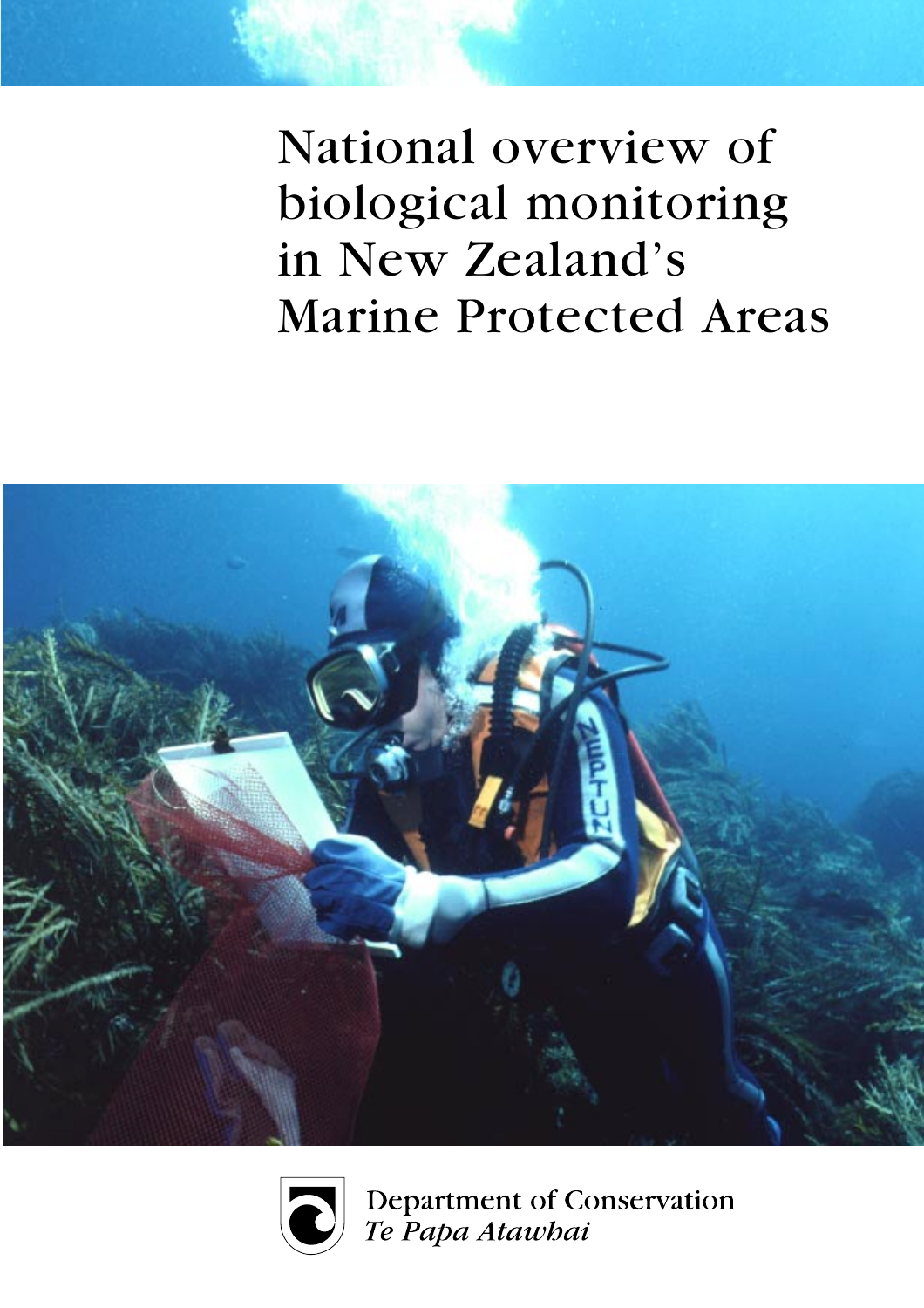National overview of biological monitoring in New Zealand's **Marine Protected Areas** 





Department of Conservation Te Papa Atawhai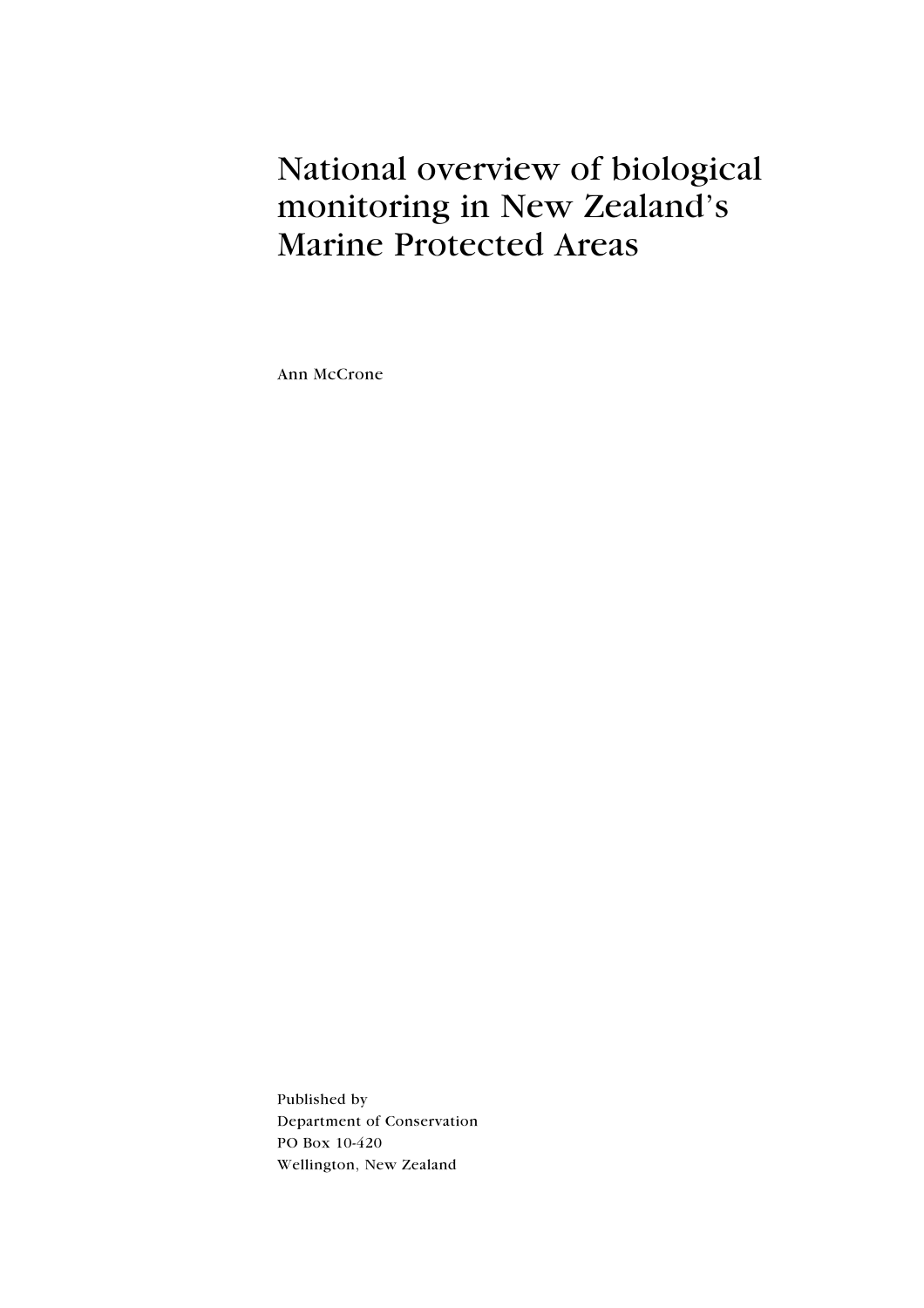## National overview of biological monitoring in New Zealand's **Marine Protected Areas**

Ann McCrone

Published by Department of Conservation PO Box 10-420 Wellington, New Zealand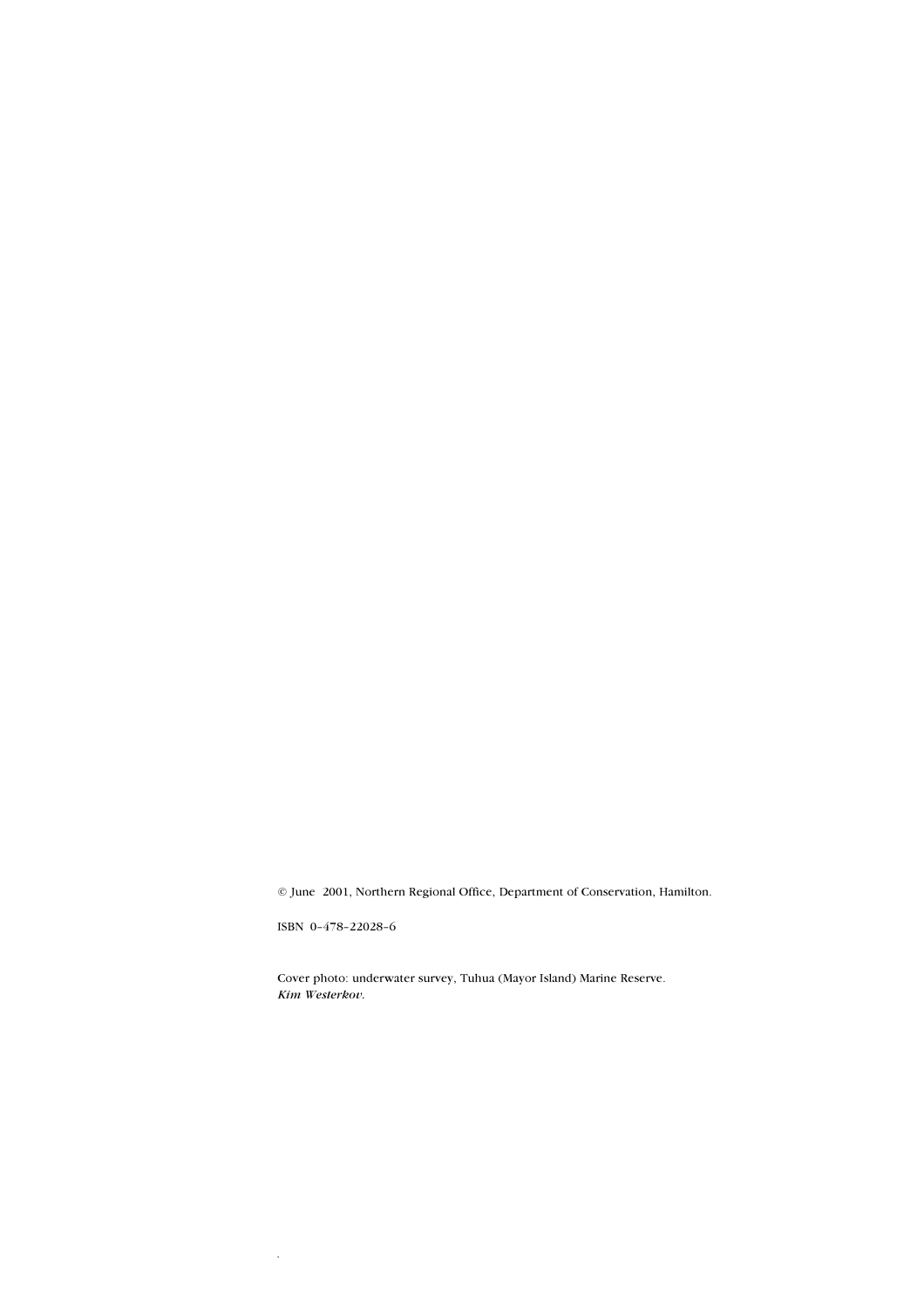© June 2001, Northern Regional Office, Department of Conservation, Hamilton.

ISBN 0-478-22028-6

 $\bar{z}$ 

Cover photo: underwater survey, Tuhua (Mayor Island) Marine Reserve. Kim Westerkov.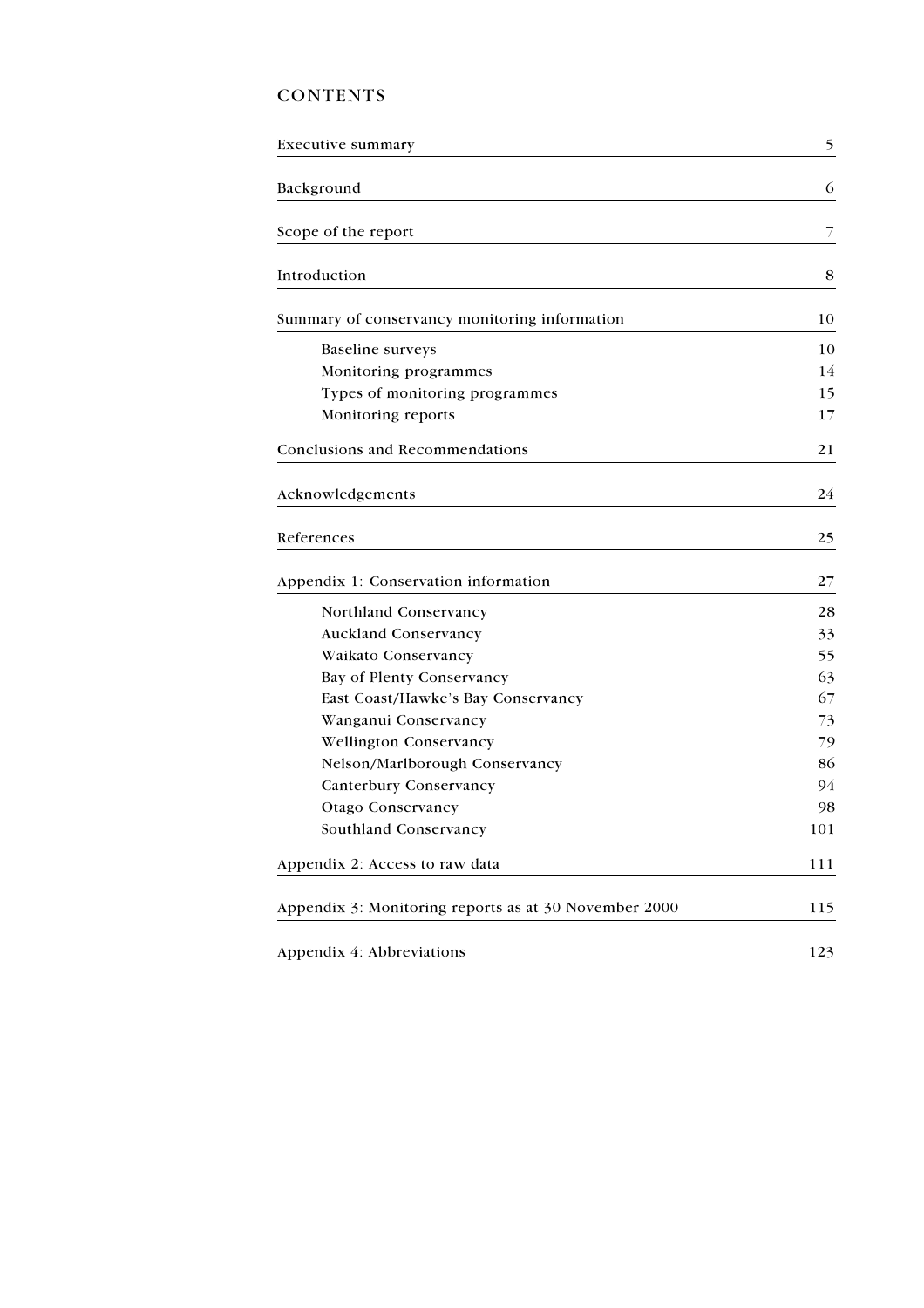## **CONTENTS**

| Executive summary                                     | 5   |
|-------------------------------------------------------|-----|
| Background                                            | 6   |
| Scope of the report                                   | 7   |
| Introduction                                          | 8   |
| Summary of conservancy monitoring information         | 10  |
| <b>Baseline</b> surveys                               | 10  |
| Monitoring programmes                                 | 14  |
| Types of monitoring programmes                        | 15  |
| Monitoring reports                                    | 17  |
| <b>Conclusions and Recommendations</b>                | 21  |
| Acknowledgements                                      | 24  |
| References                                            | 25  |
| Appendix 1: Conservation information                  | 27  |
| Northland Conservancy                                 | 28  |
| <b>Auckland Conservancy</b>                           | 33  |
| Waikato Conservancy                                   | 55  |
| Bay of Plenty Conservancy                             | 63  |
| East Coast/Hawke's Bay Conservancy                    | 67  |
| Wanganui Conservancy                                  | 73  |
| <b>Wellington Conservancy</b>                         | 79  |
| Nelson/Marlborough Conservancy                        | 86  |
| <b>Canterbury Conservancy</b>                         | 94  |
| <b>Otago Conservancy</b>                              | 98  |
| Southland Conservancy                                 | 101 |
| Appendix 2: Access to raw data                        | 111 |
| Appendix 3: Monitoring reports as at 30 November 2000 | 115 |
| Appendix 4: Abbreviations                             | 123 |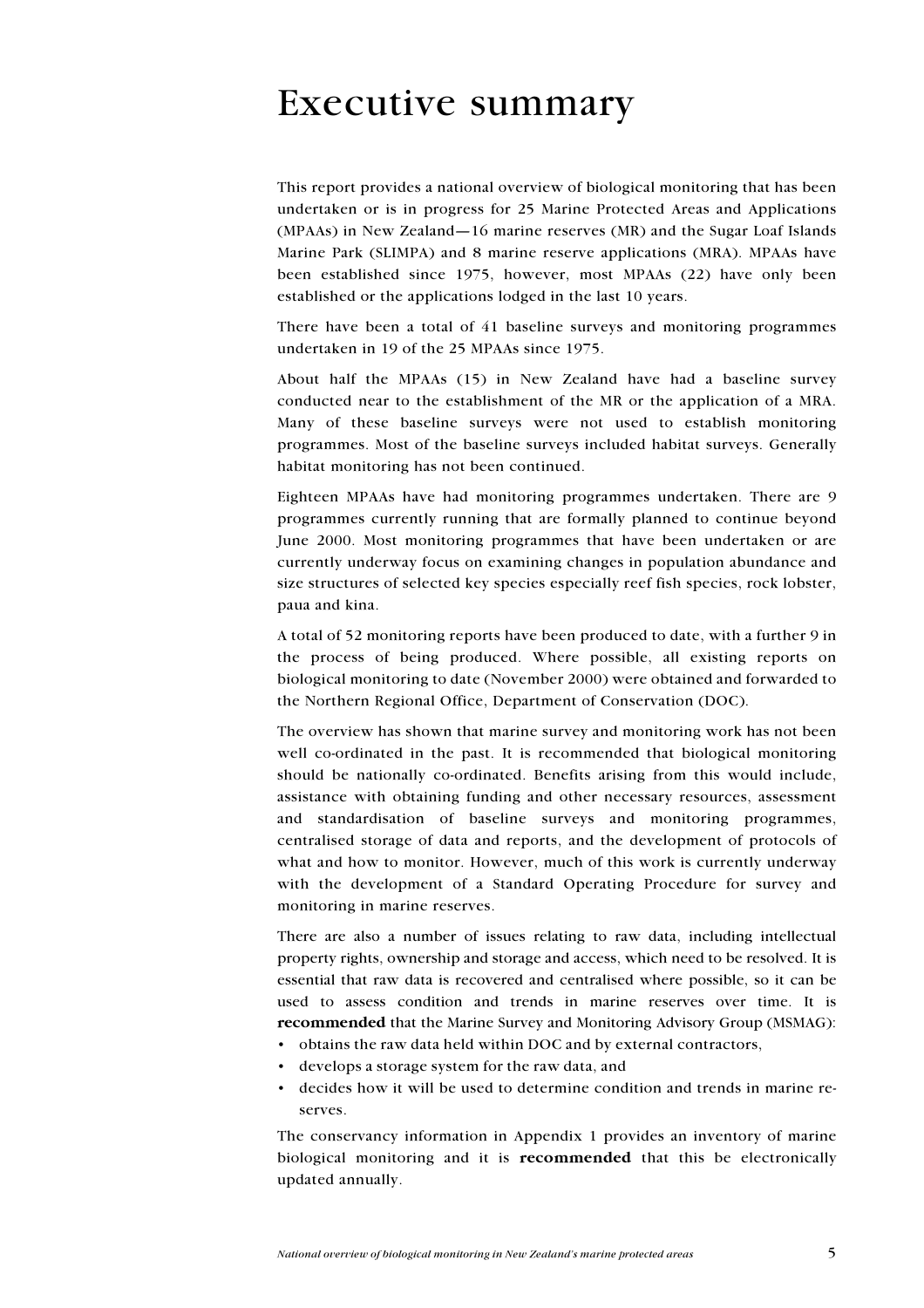## **Executive summary**

This report provides a national overview of biological monitoring that has been undertaken or is in progress for 25 Marine Protected Areas and Applications (MPAAs) in New Zealand-16 marine reserves (MR) and the Sugar Loaf Islands Marine Park (SLIMPA) and 8 marine reserve applications (MRA). MPAAs have been established since 1975, however, most MPAAs (22) have only been established or the applications lodged in the last 10 years.

There have been a total of 41 baseline surveys and monitoring programmes undertaken in 19 of the 25 MPAAs since 1975.

About half the MPAAs (15) in New Zealand have had a baseline survey conducted near to the establishment of the MR or the application of a MRA. Many of these baseline surveys were not used to establish monitoring programmes. Most of the baseline surveys included habitat surveys. Generally habitat monitoring has not been continued.

Eighteen MPAAs have had monitoring programmes undertaken. There are 9 programmes currently running that are formally planned to continue beyond June 2000. Most monitoring programmes that have been undertaken or are currently underway focus on examining changes in population abundance and size structures of selected key species especially reef fish species, rock lobster, paua and kina.

A total of 52 monitoring reports have been produced to date, with a further 9 in the process of being produced. Where possible, all existing reports on biological monitoring to date (November 2000) were obtained and forwarded to the Northern Regional Office, Department of Conservation (DOC).

The overview has shown that marine survey and monitoring work has not been well co-ordinated in the past. It is recommended that biological monitoring should be nationally co-ordinated. Benefits arising from this would include, assistance with obtaining funding and other necessary resources, assessment and standardisation of baseline surveys and monitoring programmes, centralised storage of data and reports, and the development of protocols of what and how to monitor. However, much of this work is currently underway with the development of a Standard Operating Procedure for survey and monitoring in marine reserves.

There are also a number of issues relating to raw data, including intellectual property rights, ownership and storage and access, which need to be resolved. It is essential that raw data is recovered and centralised where possible, so it can be used to assess condition and trends in marine reserves over time. It is recommended that the Marine Survey and Monitoring Advisory Group (MSMAG):

- obtains the raw data held within DOC and by external contractors,
- develops a storage system for the raw data, and
- decides how it will be used to determine condition and trends in marine reserves

The conservancy information in Appendix 1 provides an inventory of marine biological monitoring and it is recommended that this be electronically updated annually.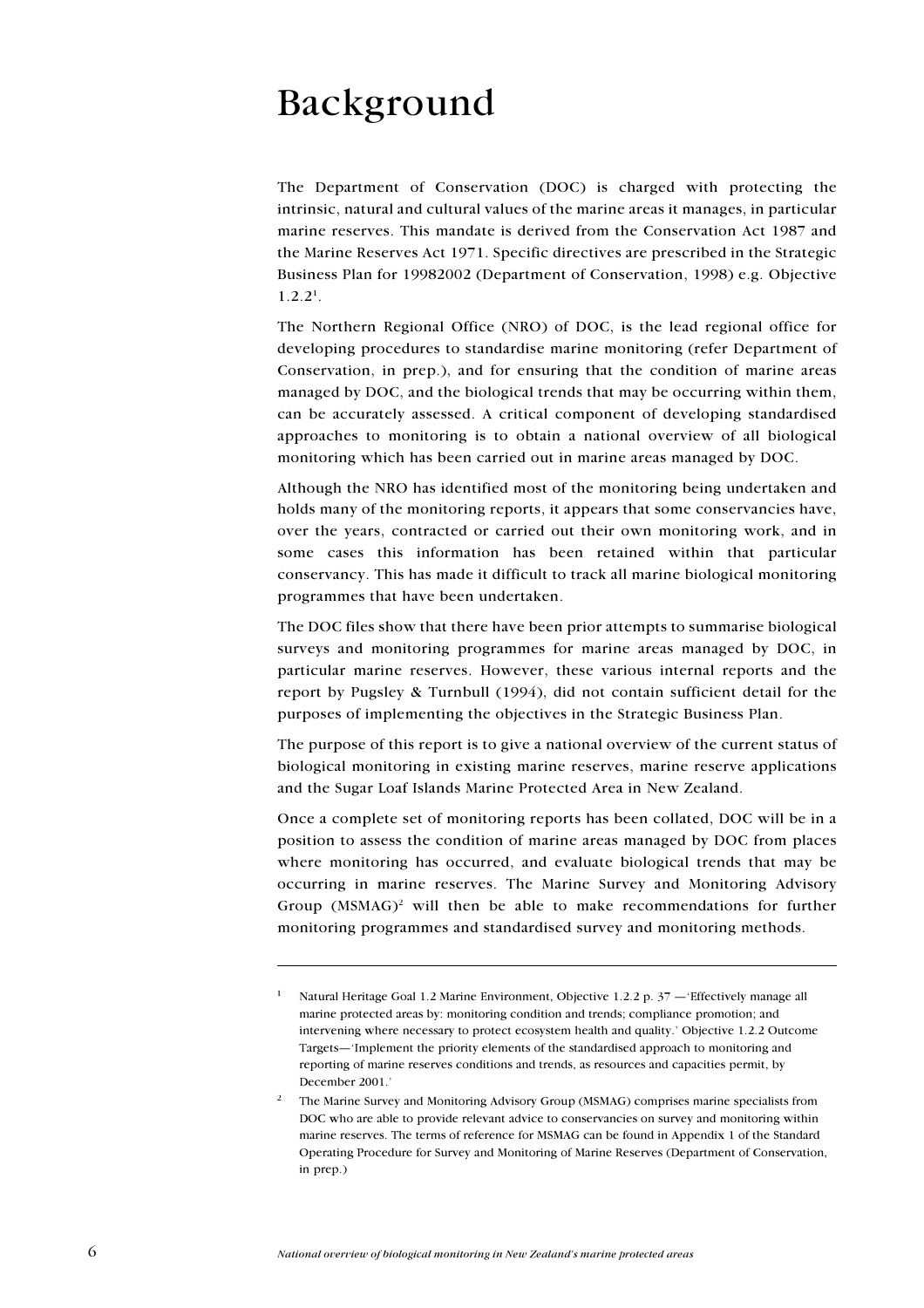# Background

The Department of Conservation (DOC) is charged with protecting the intrinsic, natural and cultural values of the marine areas it manages, in particular marine reserves. This mandate is derived from the Conservation Act 1987 and the Marine Reserves Act 1971. Specific directives are prescribed in the Strategic Business Plan for 19982002 (Department of Conservation, 1998) e.g. Objective  $1.2.2<sup>1</sup>$ .

The Northern Regional Office (NRO) of DOC, is the lead regional office for developing procedures to standardise marine monitoring (refer Department of Conservation, in prep.), and for ensuring that the condition of marine areas managed by DOC, and the biological trends that may be occurring within them, can be accurately assessed. A critical component of developing standardised approaches to monitoring is to obtain a national overview of all biological monitoring which has been carried out in marine areas managed by DOC.

Although the NRO has identified most of the monitoring being undertaken and holds many of the monitoring reports, it appears that some conservancies have, over the years, contracted or carried out their own monitoring work, and in some cases this information has been retained within that particular conservancy. This has made it difficult to track all marine biological monitoring programmes that have been undertaken.

The DOC files show that there have been prior attempts to summarise biological surveys and monitoring programmes for marine areas managed by DOC, in particular marine reserves. However, these various internal reports and the report by Pugsley & Turnbull (1994), did not contain sufficient detail for the purposes of implementing the objectives in the Strategic Business Plan.

The purpose of this report is to give a national overview of the current status of biological monitoring in existing marine reserves, marine reserve applications and the Sugar Loaf Islands Marine Protected Area in New Zealand.

Once a complete set of monitoring reports has been collated, DOC will be in a position to assess the condition of marine areas managed by DOC from places where monitoring has occurred, and evaluate biological trends that may be occurring in marine reserves. The Marine Survey and Monitoring Advisory Group (MSMAG)<sup>2</sup> will then be able to make recommendations for further monitoring programmes and standardised survey and monitoring methods.

 $\bf{l}$ Natural Heritage Goal 1.2 Marine Environment, Objective 1.2.2 p. 37 - 'Effectively manage all marine protected areas by: monitoring condition and trends; compliance promotion; and intervening where necessary to protect ecosystem health and quality.' Objective 1.2.2 Outcome Targets—'Implement the priority elements of the standardised approach to monitoring and reporting of marine reserves conditions and trends, as resources and capacities permit, by December 2001.'

 $\overline{2}$ The Marine Survey and Monitoring Advisory Group (MSMAG) comprises marine specialists from DOC who are able to provide relevant advice to conservancies on survey and monitoring within marine reserves. The terms of reference for MSMAG can be found in Appendix 1 of the Standard Operating Procedure for Survey and Monitoring of Marine Reserves (Department of Conservation, in prep.)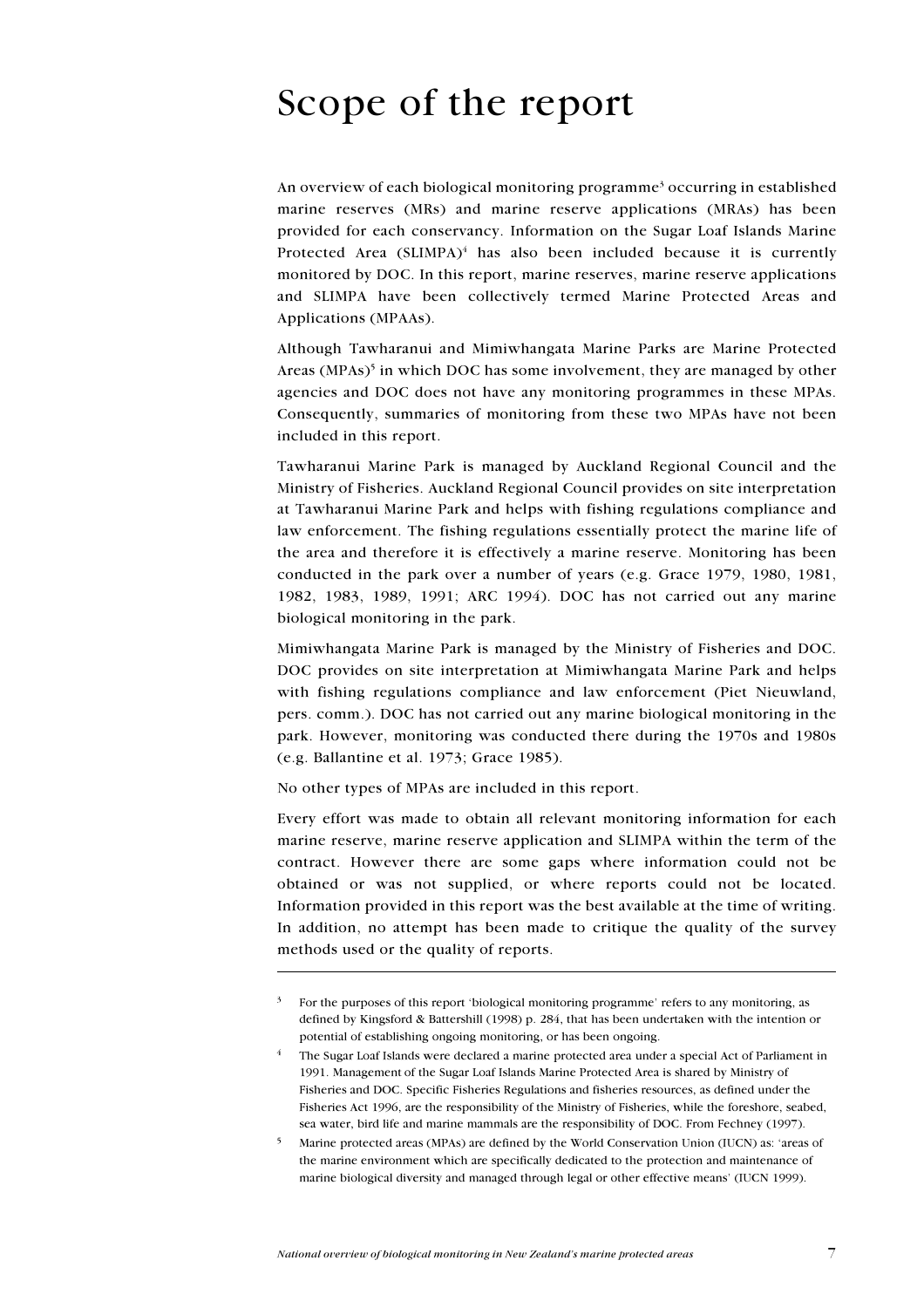# Scope of the report

An overview of each biological monitoring programme<sup>3</sup> occurring in established marine reserves (MRs) and marine reserve applications (MRAs) has been provided for each conservancy. Information on the Sugar Loaf Islands Marine Protected Area (SLIMPA)<sup>4</sup> has also been included because it is currently monitored by DOC. In this report, marine reserves, marine reserve applications and SLIMPA have been collectively termed Marine Protected Areas and Applications (MPAAs).

Although Tawharanui and Mimiwhangata Marine Parks are Marine Protected Areas (MPAs)<sup>5</sup> in which DOC has some involvement, they are managed by other agencies and DOC does not have any monitoring programmes in these MPAs. Consequently, summaries of monitoring from these two MPAs have not been included in this report.

Tawharanui Marine Park is managed by Auckland Regional Council and the Ministry of Fisheries. Auckland Regional Council provides on site interpretation at Tawharanui Marine Park and helps with fishing regulations compliance and law enforcement. The fishing regulations essentially protect the marine life of the area and therefore it is effectively a marine reserve. Monitoring has been conducted in the park over a number of years (e.g. Grace 1979, 1980, 1981, 1982, 1983, 1989, 1991; ARC 1994). DOC has not carried out any marine biological monitoring in the park.

Mimiwhangata Marine Park is managed by the Ministry of Fisheries and DOC. DOC provides on site interpretation at Mimiwhangata Marine Park and helps with fishing regulations compliance and law enforcement (Piet Nieuwland, pers. comm.). DOC has not carried out any marine biological monitoring in the park. However, monitoring was conducted there during the 1970s and 1980s (e.g. Ballantine et al. 1973; Grace 1985).

No other types of MPAs are included in this report.

Every effort was made to obtain all relevant monitoring information for each marine reserve, marine reserve application and SLIMPA within the term of the contract. However there are some gaps where information could not be obtained or was not supplied, or where reports could not be located. Information provided in this report was the best available at the time of writing. In addition, no attempt has been made to critique the quality of the survey methods used or the quality of reports.

For the purposes of this report 'biological monitoring programme' refers to any monitoring, as defined by Kingsford & Battershill (1998) p. 284, that has been undertaken with the intention or potential of establishing ongoing monitoring, or has been ongoing.

The Sugar Loaf Islands were declared a marine protected area under a special Act of Parliament in 1991. Management of the Sugar Loaf Islands Marine Protected Area is shared by Ministry of Fisheries and DOC. Specific Fisheries Regulations and fisheries resources, as defined under the Fisheries Act 1996, are the responsibility of the Ministry of Fisheries, while the foreshore, seabed, sea water, bird life and marine mammals are the responsibility of DOC. From Fechney (1997).

Marine protected areas (MPAs) are defined by the World Conservation Union (IUCN) as: 'areas of the marine environment which are specifically dedicated to the protection and maintenance of marine biological diversity and managed through legal or other effective means' (IUCN 1999).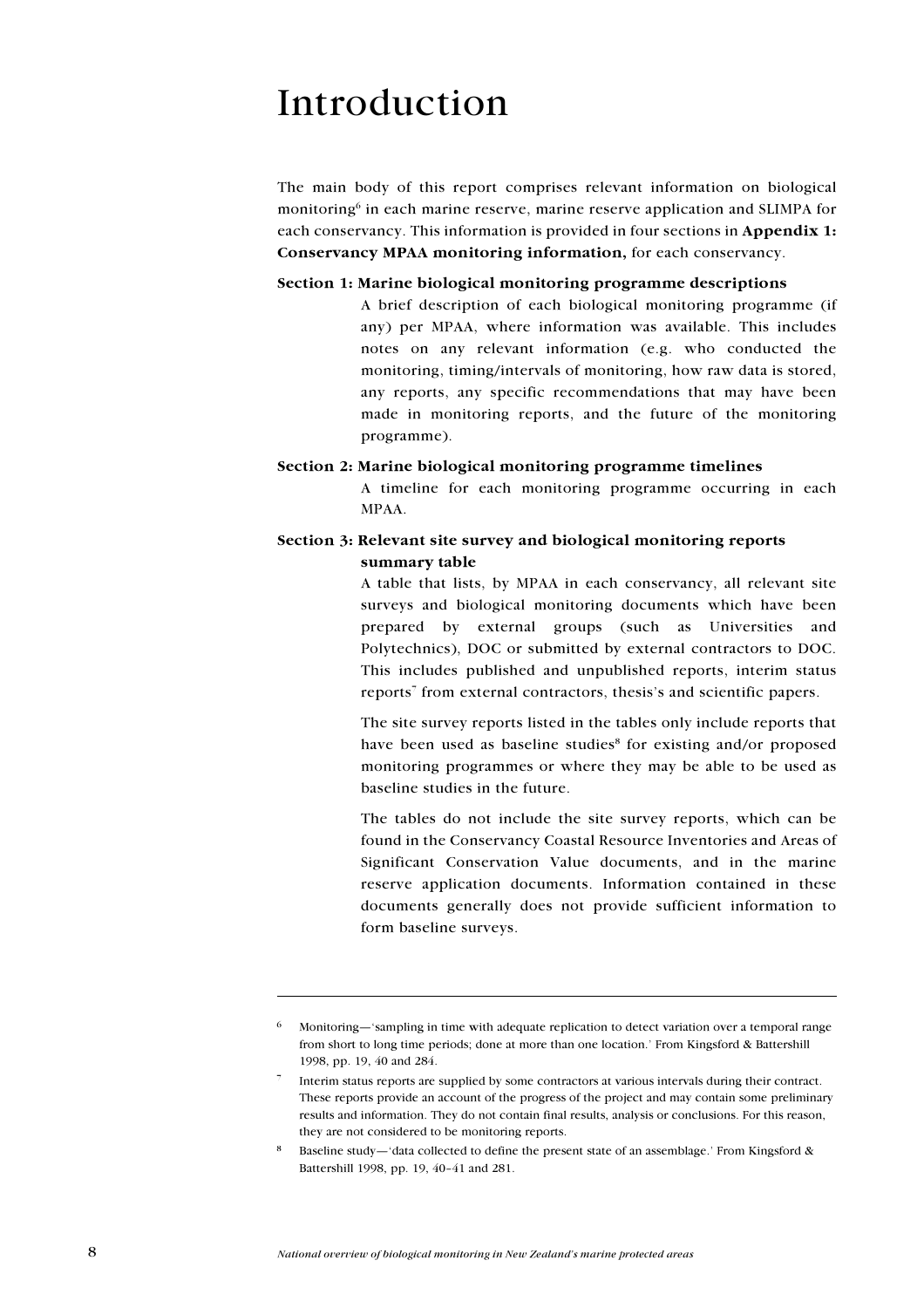## Introduction

The main body of this report comprises relevant information on biological monitoring<sup>6</sup> in each marine reserve, marine reserve application and SLIMPA for each conservancy. This information is provided in four sections in Appendix 1: Conservancy MPAA monitoring information, for each conservancy.

#### Section 1: Marine biological monitoring programme descriptions

A brief description of each biological monitoring programme (if any) per MPAA, where information was available. This includes notes on any relevant information (e.g. who conducted the monitoring, timing/intervals of monitoring, how raw data is stored, any reports, any specific recommendations that may have been made in monitoring reports, and the future of the monitoring programme).

#### Section 2: Marine biological monitoring programme timelines

A timeline for each monitoring programme occurring in each MPAA.

## Section 3: Relevant site survey and biological monitoring reports summary table

A table that lists, by MPAA in each conservancy, all relevant site surveys and biological monitoring documents which have been prepared by external groups (such as Universities and Polytechnics), DOC or submitted by external contractors to DOC. This includes published and unpublished reports, interim status reports<sup>7</sup> from external contractors, thesis's and scientific papers.

The site survey reports listed in the tables only include reports that have been used as baseline studies<sup>8</sup> for existing and/or proposed monitoring programmes or where they may be able to be used as baseline studies in the future.

The tables do not include the site survey reports, which can be found in the Conservancy Coastal Resource Inventories and Areas of Significant Conservation Value documents, and in the marine reserve application documents. Information contained in these documents generally does not provide sufficient information to form baseline surveys.

Monitoring—'sampling in time with adequate replication to detect variation over a temporal range from short to long time periods; done at more than one location.' From Kingsford & Battershill 1998, pp. 19, 40 and 284.

Interim status reports are supplied by some contractors at various intervals during their contract. These reports provide an account of the progress of the project and may contain some preliminary results and information. They do not contain final results, analysis or conclusions. For this reason, they are not considered to be monitoring reports.

Baseline study—'data collected to define the present state of an assemblage.' From Kingsford  $\&$ Battershill 1998, pp. 19, 40-41 and 281.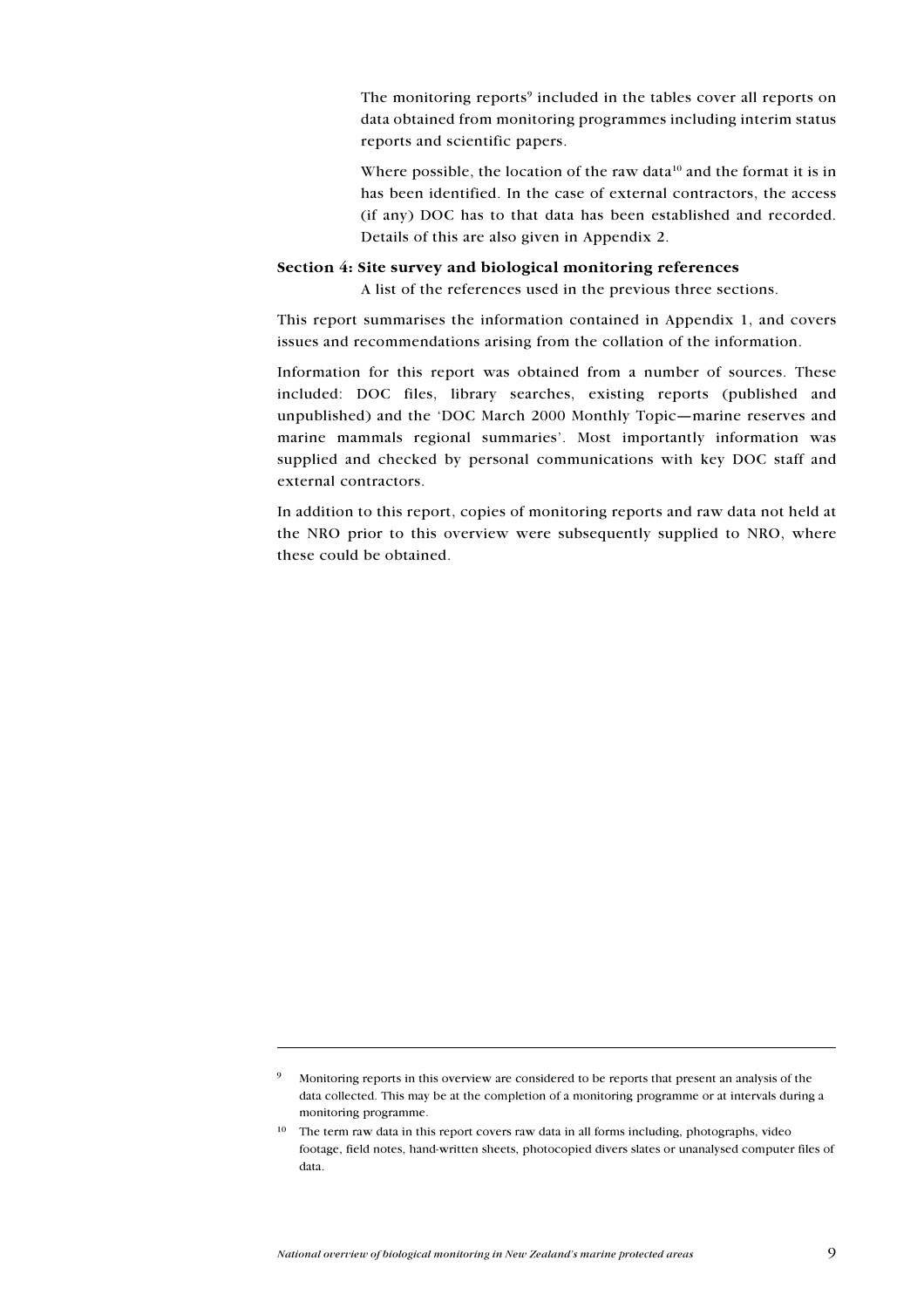The monitoring reports<sup>9</sup> included in the tables cover all reports on data obtained from monitoring programmes including interim status reports and scientific papers.

Where possible, the location of the raw data<sup>10</sup> and the format it is in has been identified. In the case of external contractors, the access (if any) DOC has to that data has been established and recorded. Details of this are also given in Appendix 2.

### Section 4: Site survey and biological monitoring references

A list of the references used in the previous three sections.

This report summarises the information contained in Appendix 1, and covers issues and recommendations arising from the collation of the information.

Information for this report was obtained from a number of sources. These included: DOC files, library searches, existing reports (published and unpublished) and the 'DOC March 2000 Monthly Topic-marine reserves and marine mammals regional summaries'. Most importantly information was supplied and checked by personal communications with key DOC staff and external contractors.

In addition to this report, copies of monitoring reports and raw data not held at the NRO prior to this overview were subsequently supplied to NRO, where these could be obtained.

Monitoring reports in this overview are considered to be reports that present an analysis of the data collected. This may be at the completion of a monitoring programme or at intervals during a monitoring programme.

<sup>&</sup>lt;sup>10</sup> The term raw data in this report covers raw data in all forms including, photographs, video footage, field notes, hand-written sheets, photocopied divers slates or unanalysed computer files of data.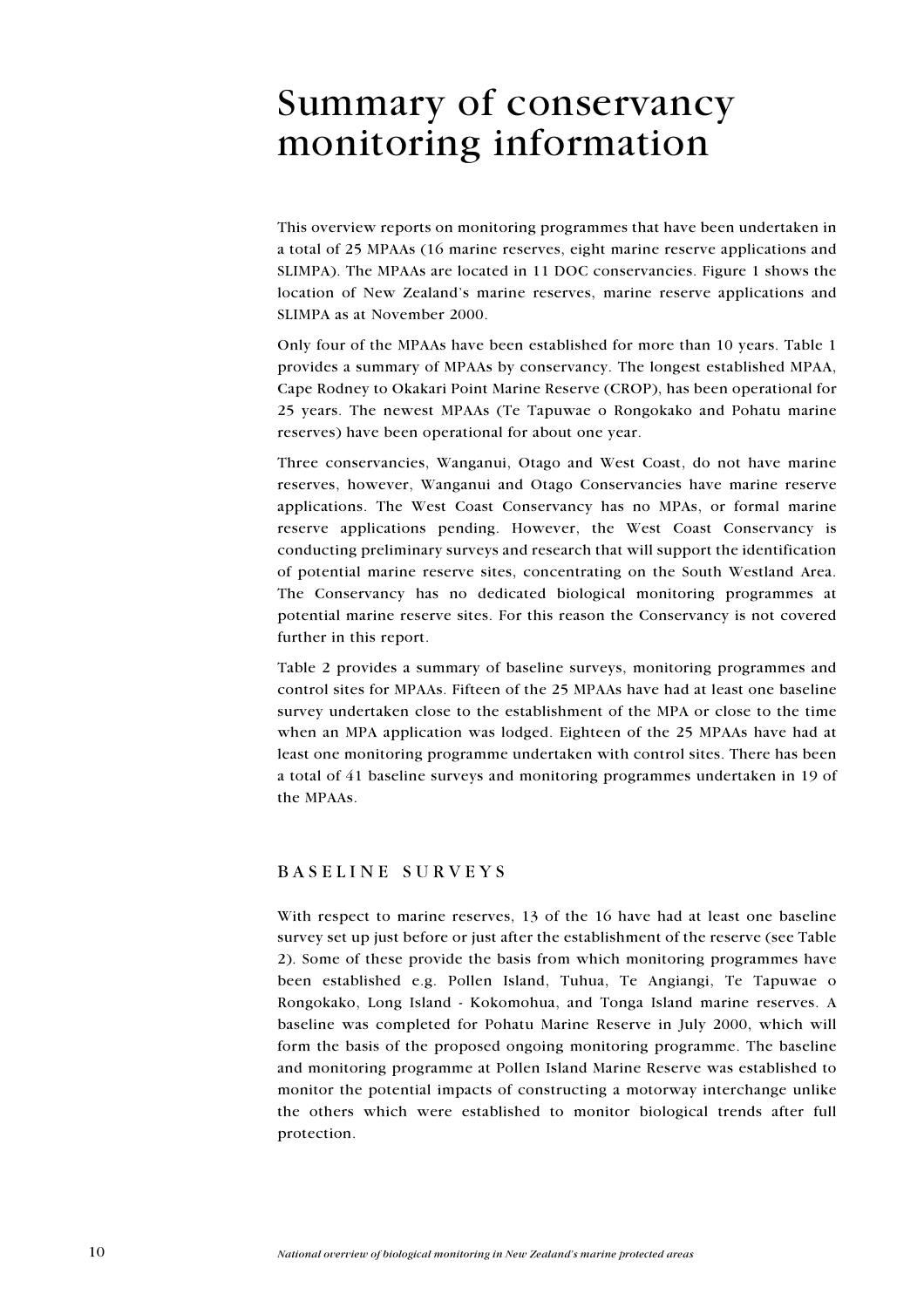# **Summary of conservancy** monitoring information

This overview reports on monitoring programmes that have been undertaken in a total of 25 MPAAs (16 marine reserves, eight marine reserve applications and SLIMPA). The MPAAs are located in 11 DOC conservancies. Figure 1 shows the location of New Zealand's marine reserves, marine reserve applications and SLIMPA as at November 2000.

Only four of the MPAAs have been established for more than 10 years. Table 1 provides a summary of MPAAs by conservancy. The longest established MPAA, Cape Rodney to Okakari Point Marine Reserve (CROP), has been operational for 25 years. The newest MPAAs (Te Tapuwae o Rongokako and Pohatu marine reserves) have been operational for about one year.

Three conservancies, Wanganui, Otago and West Coast, do not have marine reserves, however, Wanganui and Otago Conservancies have marine reserve applications. The West Coast Conservancy has no MPAs, or formal marine reserve applications pending. However, the West Coast Conservancy is conducting preliminary surveys and research that will support the identification of potential marine reserve sites, concentrating on the South Westland Area. The Conservancy has no dedicated biological monitoring programmes at potential marine reserve sites. For this reason the Conservancy is not covered further in this report.

Table 2 provides a summary of baseline surveys, monitoring programmes and control sites for MPAAs. Fifteen of the 25 MPAAs have had at least one baseline survey undertaken close to the establishment of the MPA or close to the time when an MPA application was lodged. Eighteen of the 25 MPAAs have had at least one monitoring programme undertaken with control sites. There has been a total of 41 baseline surveys and monitoring programmes undertaken in 19 of the MPAAs.

## BASELINE SURVEYS

With respect to marine reserves, 13 of the 16 have had at least one baseline survey set up just before or just after the establishment of the reserve (see Table 2). Some of these provide the basis from which monitoring programmes have been established e.g. Pollen Island, Tuhua, Te Angiangi, Te Tapuwae o Rongokako, Long Island - Kokomohua, and Tonga Island marine reserves. A baseline was completed for Pohatu Marine Reserve in July 2000, which will form the basis of the proposed ongoing monitoring programme. The baseline and monitoring programme at Pollen Island Marine Reserve was established to monitor the potential impacts of constructing a motorway interchange unlike the others which were established to monitor biological trends after full protection.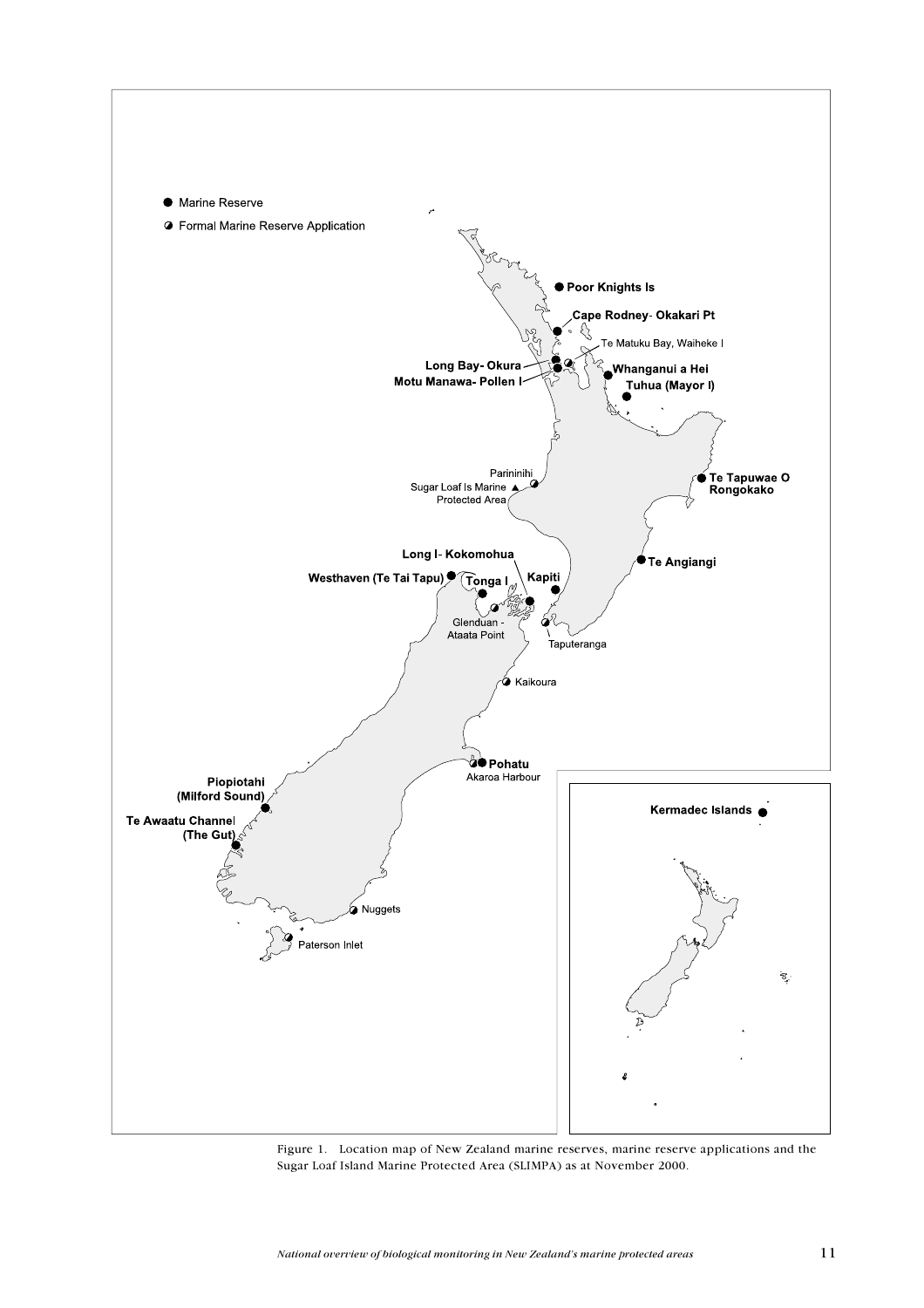

Figure 1. Location map of New Zealand marine reserves, marine reserve applications and the Sugar Loaf Island Marine Protected Area (SLIMPA) as at November 2000.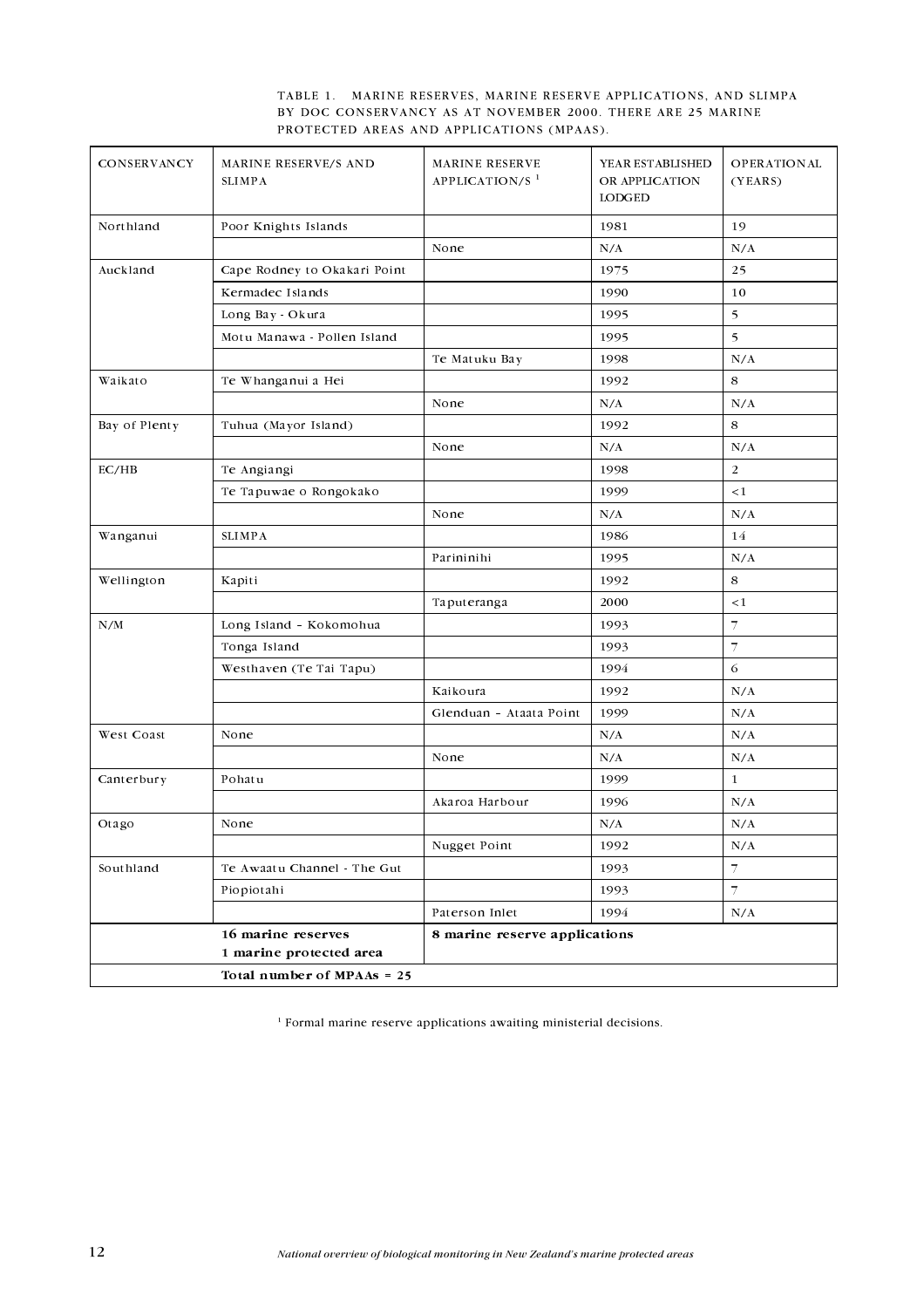|  | TABLE 1. MARINE RESERVES, MARINE RESERVE APPLICATIONS, AND SLIMPA |  |  |
|--|-------------------------------------------------------------------|--|--|
|  | BY DOC CONSERVANCY AS AT NOVEMBER 2000. THERE ARE 25 MARINE       |  |  |
|  | PROTECTED AREAS AND APPLICATIONS (MPAAS).                         |  |  |

| CONSERVANCY   | MARINE RESERVE/S AND<br><b>SLIMPA</b> | <b>MARINE RESERVE</b><br>APPLICATION/S <sup>1</sup> | YEAR ESTABLISHED<br>OR APPLICATION<br>LODGED | <b>OPERATIONAL</b><br>(YEARS) |
|---------------|---------------------------------------|-----------------------------------------------------|----------------------------------------------|-------------------------------|
| Northland     | Poor Knights Islands                  |                                                     | 1981                                         | 19                            |
|               |                                       | None                                                | N/A                                          | N/A                           |
| Auckland      | Cape Rodney to Okakari Point          |                                                     | 1975                                         | 25                            |
|               | Kermadec Islands                      |                                                     | 1990                                         | 10                            |
|               | Long Bay - Okura                      |                                                     | 1995                                         | 5                             |
|               | Motu Manawa - Pollen Island           |                                                     | 1995                                         | 5                             |
|               |                                       | Te Matuku Bay                                       | 1998                                         | N/A                           |
| Waikato       | Te Whanganui a Hei                    |                                                     | 1992                                         | 8                             |
|               |                                       | None                                                | N/A                                          | N/A                           |
| Bay of Plenty | Tuhua (Mayor Island)                  |                                                     | 1992                                         | 8                             |
|               |                                       | None                                                | N/A                                          | N/A                           |
| EC/HB         | Te Angiangi                           |                                                     | 1998                                         | $\overline{2}$                |
|               | Te Tapuwae o Rongokako                |                                                     | 1999                                         | $\lt 1$                       |
|               |                                       | None                                                | N/A                                          | N/A                           |
| Wanganui      | <b>SLIMPA</b>                         |                                                     | 1986                                         | 14                            |
|               |                                       | Parininihi                                          | 1995                                         | N/A                           |
| Wellington    | Kapiti                                |                                                     | 1992                                         | 8                             |
|               |                                       | Taputeranga                                         | 2000                                         | $\leq 1$                      |
| N/M           | Long Island - Kokomohua               |                                                     | 1993                                         | $\overline{7}$                |
|               | Tonga Island                          |                                                     | 1993                                         | $\overline{7}$                |
|               | Westhaven (Te Tai Tapu)               |                                                     | 1994                                         | $\sqrt{6}$                    |
|               |                                       | Kaikoura                                            | 1992                                         | N/A                           |
|               |                                       | Glenduan - Ataata Point                             | 1999                                         | N/A                           |
| West Coast    | None                                  |                                                     | N/A                                          | N/A                           |
|               |                                       | None                                                | N/A                                          | N/A                           |
| Canterbury    | Pohatu                                |                                                     | 1999                                         | $\mathbf{1}$                  |
|               |                                       | Akaroa Harbour                                      | 1996                                         | N/A                           |
| Otago         | None                                  |                                                     | N/A                                          | N/A                           |
|               |                                       | Nugget Point                                        | 1992                                         | N/A                           |
| Southland     | Te Awaatu Channel - The Gut           |                                                     | 1993                                         | $\overline{\mathcal{I}}$      |
|               | Piopiotahi                            |                                                     | 1993                                         | $\overline{7}$                |
|               |                                       | Paterson Inlet                                      | 1994                                         | N/A                           |
|               | 16 marine reserves                    | 8 marine reserve applications                       |                                              |                               |
|               | 1 marine protected area               |                                                     |                                              |                               |
|               | Total number of MPAAs = 25            |                                                     |                                              |                               |

 $^{\mathrm{1}}$  Formal marine reserve applications a<br>waiting ministerial decisions.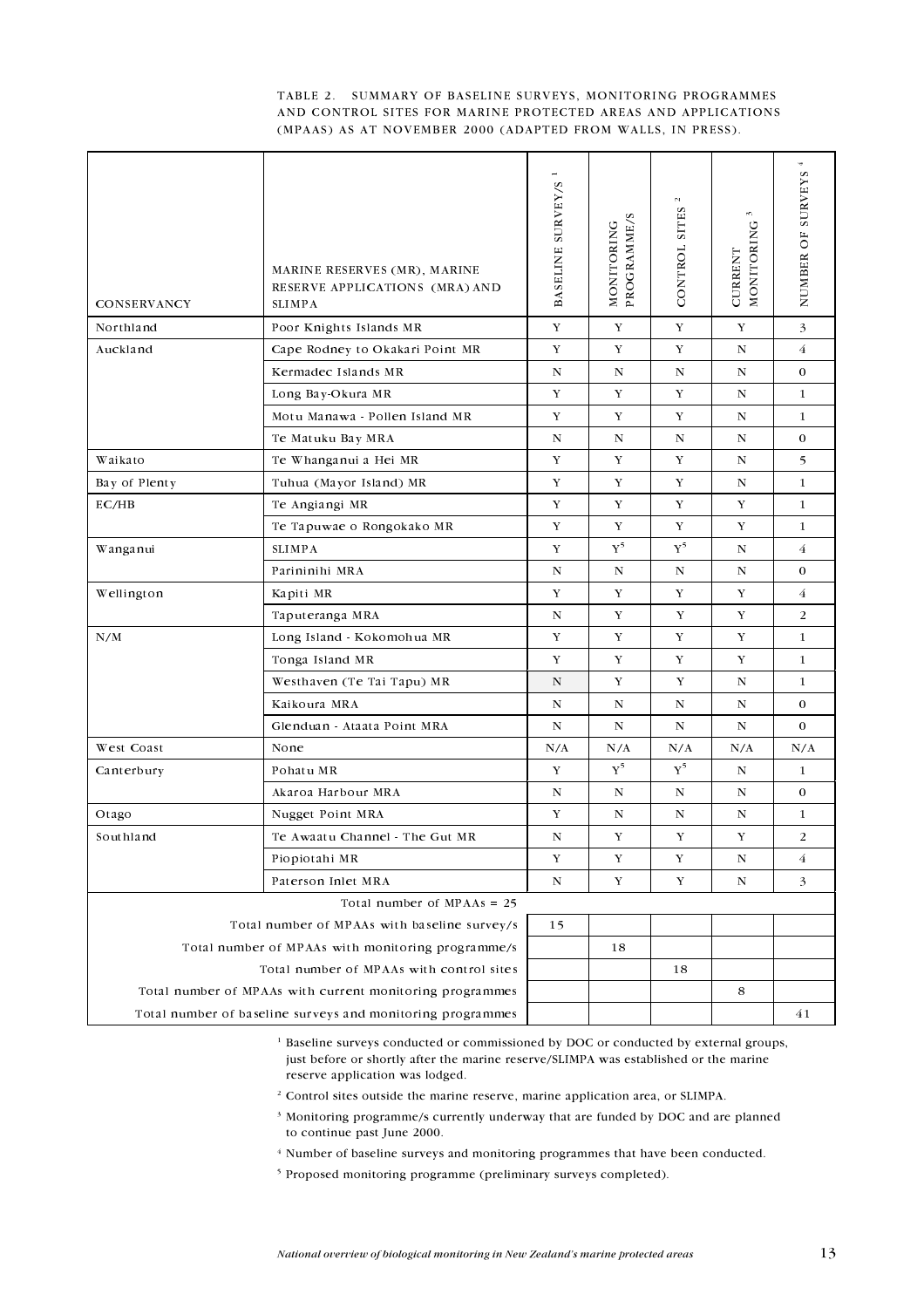#### TABLE 2. SUMMARY OF BASELINE SURVEYS, MONITORING PROGRAMMES AND CONTROL SITES FOR MARINE PROTECTED AREAS AND APPLICATIONS (MPAAS) AS AT NOVEMBER 2000 (ADAPTED FROM WALLS, IN PRESS).

| CONSERVANCY                                                | MARINE RESERVES (MR), MARINE<br>RESERVE APPLICATIONS (MRA) AND<br><b>SLIMPA</b> | BASELINE SURVEY/S | PROGRAMME/S<br>NONITORING | $\mathbb{N}$<br>CONTROL SITES | w,<br>NONITORING<br><b>CURRENT</b> | 4<br><b>SURVEYS</b><br>NUMBER OF |  |
|------------------------------------------------------------|---------------------------------------------------------------------------------|-------------------|---------------------------|-------------------------------|------------------------------------|----------------------------------|--|
| Northland                                                  | Poor Knights Islands MR                                                         | Y                 | Y                         | Y                             | Y                                  | 3                                |  |
| Auckland                                                   | Cape Rodney to Okakari Point MR                                                 | Y                 | Y                         | Y                             | ${\bf N}$                          | $\overline{4}$                   |  |
|                                                            | Kermadec Islands MR                                                             | N                 | N                         | $\mathbf N$                   | $\mathbf N$                        | $\mathbf 0$                      |  |
|                                                            | Long Bay Okura MR                                                               | Y                 | Y                         | Y                             | ${\bf N}$                          | $\mathbf{1}$                     |  |
|                                                            | Motu Manawa - Pollen Island MR                                                  | Y                 | Y                         | Y                             | ${\bf N}$                          | $\mathbf{1}$                     |  |
|                                                            | Te Matuku Bay MRA                                                               | $\mathbf N$       | $\mathbf N$               | $\mathbf N$                   | ${\bf N}$                          | $\mathbf 0$                      |  |
| Waikato                                                    | Te Whanganui a Hei MR                                                           | Y                 | Y                         | Y                             | N                                  | 5                                |  |
| Bay of Plenty                                              | Tuhua (Mayor Island) MR                                                         | Y                 | Y                         | Y                             | ${\bf N}$                          | $\mathbf{1}$                     |  |
| EC/HB                                                      | Te Angiangi MR                                                                  | $\mathbf Y$       | $\mathbf Y$               | Y                             | Y                                  | $\mathbf{1}$                     |  |
|                                                            | Te Tapuwae o Rongokako MR                                                       | Y                 | $\mathbf Y$               | $\mathbf Y$                   | Y                                  | 1                                |  |
| Wanganui                                                   | <b>SLIMPA</b>                                                                   | Y                 | ${\rm Y}^5$               | ${\rm Y}^5$                   | $\mathbf N$                        | $\overline{4}$                   |  |
|                                                            | Parininihi MRA                                                                  | ${\bf N}$         | N                         | N                             | N                                  | $\mathbf 0$                      |  |
| Wellington                                                 | Kapiti MR                                                                       | Y                 | Y                         | Y                             | Y                                  | $\overline{4}$                   |  |
|                                                            | Taputeranga MRA                                                                 | $\mathbf N$       | Y                         | Y                             | Y                                  | 2                                |  |
| N/M                                                        | Long Island - Kokomohua MR                                                      | Y                 | Y                         | Y                             | Y                                  | 1                                |  |
|                                                            | Tonga Island MR                                                                 | $\mathbf Y$       | $\mathbf Y$               | $\mathbf Y$                   | Y                                  | $\mathbf{1}$                     |  |
|                                                            | Westhaven (Te Tai Tapu) MR                                                      | $\mathbf N$       | Y                         | Y                             | N                                  | 1                                |  |
|                                                            | Kaikoura MRA                                                                    | $\mathbf N$       | ${\bf N}$                 | ${\bf N}$                     | ${\bf N}$                          | $\mathbf 0$                      |  |
|                                                            | Glenduan - Ataata Point MRA                                                     | $\mathbf N$       | $\mathbf N$               | ${\bf N}$                     | $\mathbf N$                        | $\mathbf 0$                      |  |
| West Coast                                                 | None                                                                            | N/A               | N/A                       | N/A                           | N/A                                | N/A                              |  |
| Canterbury                                                 | Pohatu MR                                                                       | Y                 | ${\rm Y}^5$               | ${\bf Y}^5$                   | ${\bf N}$                          | 1                                |  |
|                                                            | Akaroa Harbour MRA                                                              | $\mathbf N$       | ${\bf N}$                 | $\mathbf N$                   | ${\bf N}$                          | $\mathbf 0$                      |  |
| Otago                                                      | Nugget Point MRA                                                                | Y                 | N                         | N                             | N                                  | 1                                |  |
| Southland                                                  | Te Awaatu Channel - The Gut MR                                                  | $\mathbf N$       | Y                         | Y                             | Y                                  | $\overline{2}$                   |  |
|                                                            | Piopiotahi MR                                                                   | Y                 | Y                         | Y                             | N                                  | $\overline{4}$                   |  |
|                                                            | Paterson Inlet MRA                                                              | ${\bf N}$         | Y                         | Y                             | N                                  | 3                                |  |
|                                                            | Total number of $MPAs = 25$                                                     |                   |                           |                               |                                    |                                  |  |
| Total number of MPAAs with baseline survey/s               |                                                                                 |                   |                           |                               |                                    |                                  |  |
| Total number of MPAAs with monitoring programme/s          |                                                                                 |                   | 18                        |                               |                                    |                                  |  |
| Total number of MPAAs with control sites                   |                                                                                 |                   |                           | 18                            |                                    |                                  |  |
| Total number of MPAAs with current monitoring programmes   |                                                                                 |                   |                           | 8                             |                                    |                                  |  |
| Total number of baseline surveys and monitoring programmes |                                                                                 |                   |                           |                               | 41                                 |                                  |  |

<sup>1</sup> Baseline surveys conducted or commissioned by DOC or conducted by external groups, just before or shortly after the marine reserve/SLIMPA was established or the marine reserve application was lodged.

- <sup>2</sup> Control sites outside the marine reserve, marine application area, or SLIMPA.
- <sup>3</sup> Monitoring programme/s currently underway that are funded by DOC and are planned to continue past June 2000.
- <sup>4</sup> Number of baseline surveys and monitoring programmes that have been conducted.
- <sup>5</sup> Proposed monitoring programme (preliminary surveys completed).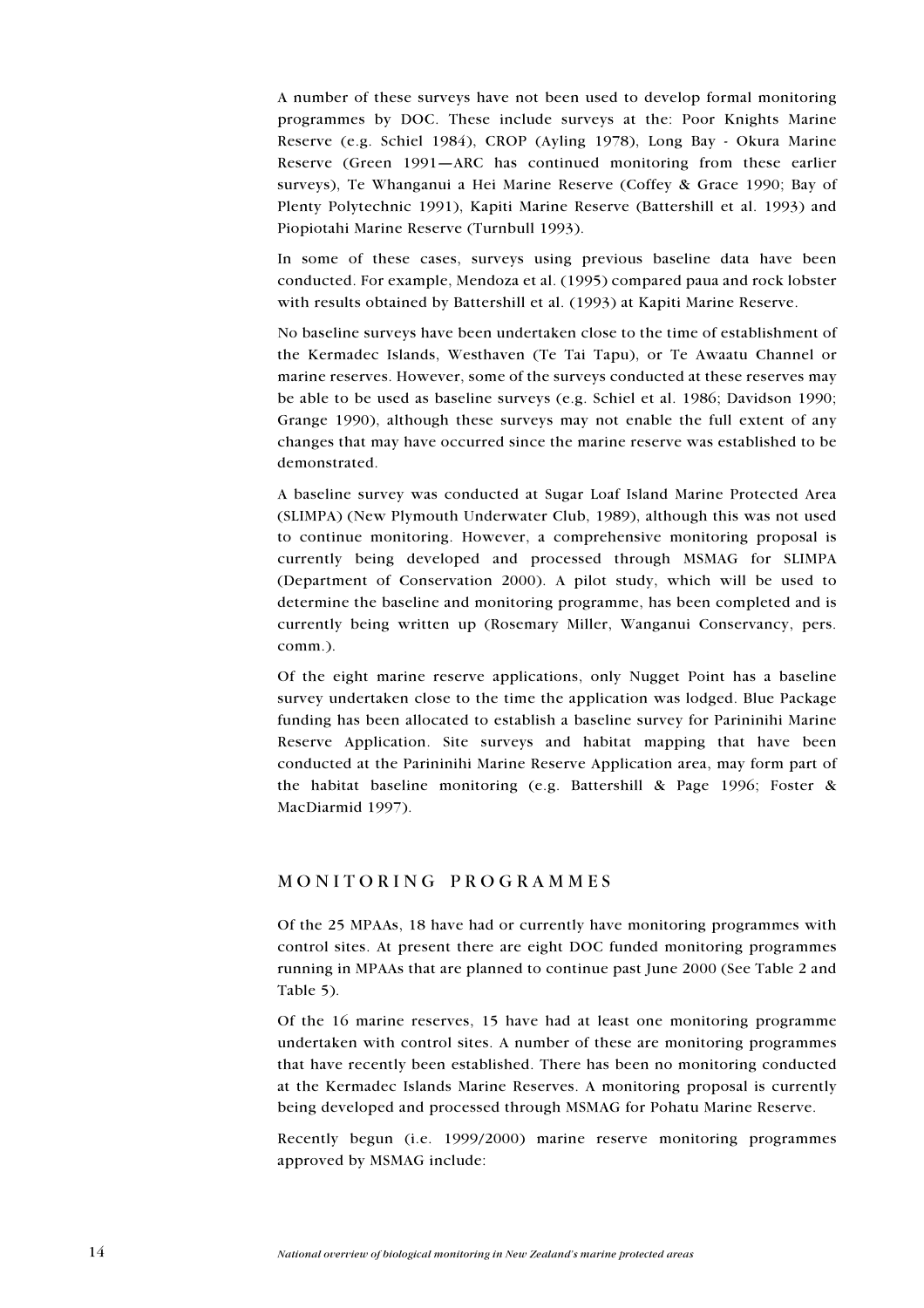A number of these surveys have not been used to develop formal monitoring programmes by DOC. These include surveys at the: Poor Knights Marine Reserve (e.g. Schiel 1984), CROP (Ayling 1978), Long Bay - Okura Marine Reserve (Green 1991—ARC has continued monitoring from these earlier surveys), Te Whanganui a Hei Marine Reserve (Coffey & Grace 1990; Bay of Plenty Polytechnic 1991), Kapiti Marine Reserve (Battershill et al. 1993) and Piopiotahi Marine Reserve (Turnbull 1993).

In some of these cases, surveys using previous baseline data have been conducted. For example, Mendoza et al. (1995) compared paua and rock lobster with results obtained by Battershill et al. (1993) at Kapiti Marine Reserve.

No baseline surveys have been undertaken close to the time of establishment of the Kermadec Islands, Westhaven (Te Tai Tapu), or Te Awaatu Channel or marine reserves. However, some of the surveys conducted at these reserves may be able to be used as baseline surveys (e.g. Schiel et al. 1986; Davidson 1990; Grange 1990), although these surveys may not enable the full extent of any changes that may have occurred since the marine reserve was established to be demonstrated.

A baseline survey was conducted at Sugar Loaf Island Marine Protected Area (SLIMPA) (New Plymouth Underwater Club, 1989), although this was not used to continue monitoring. However, a comprehensive monitoring proposal is currently being developed and processed through MSMAG for SLIMPA (Department of Conservation 2000). A pilot study, which will be used to determine the baseline and monitoring programme, has been completed and is currently being written up (Rosemary Miller, Wanganui Conservancy, pers. comm.).

Of the eight marine reserve applications, only Nugget Point has a baseline survey undertaken close to the time the application was lodged. Blue Package funding has been allocated to establish a baseline survey for Parininihi Marine Reserve Application. Site surveys and habitat mapping that have been conducted at the Parininihi Marine Reserve Application area, may form part of the habitat baseline monitoring (e.g. Battershill & Page 1996; Foster & MacDiarmid 1997).

## MONITORING PROGRAMMES

Of the 25 MPAAs, 18 have had or currently have monitoring programmes with control sites. At present there are eight DOC funded monitoring programmes running in MPAAs that are planned to continue past June 2000 (See Table 2 and Table 5).

Of the 16 marine reserves, 15 have had at least one monitoring programme undertaken with control sites. A number of these are monitoring programmes that have recently been established. There has been no monitoring conducted at the Kermadec Islands Marine Reserves. A monitoring proposal is currently being developed and processed through MSMAG for Pohatu Marine Reserve.

Recently begun (i.e. 1999/2000) marine reserve monitoring programmes approved by MSMAG include: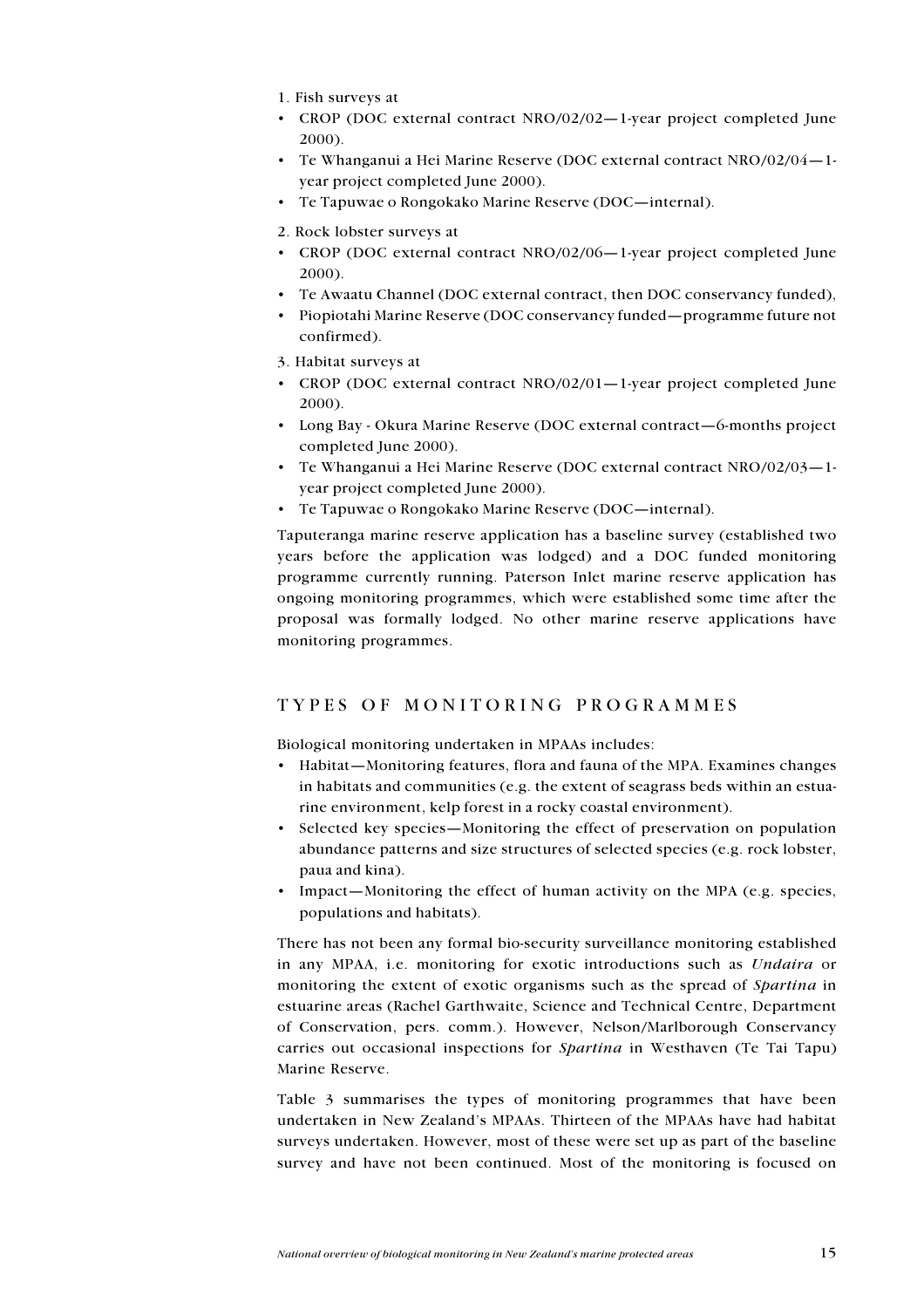- 1. Fish surveys at
- CROP (DOC external contract NRO/02/02-1-year project completed June 2000)
- Te Whanganui a Hei Marine Reserve (DOC external contract NRO/02/04-1vear project completed June 2000).
- Te Tapuwae o Rongokako Marine Reserve (DOC—internal).
- 2. Rock lobster surveys at
- CROP (DOC external contract NRO/02/06—1-year project completed lune  $2000$ ).
- Te Awaatu Channel (DOC external contract, then DOC conservancy funded),
- · Piopiotahi Marine Reserve (DOC conservancy funded—programme future not confirmed).
- 3. Habitat surveys at
- CROP (DOC external contract NRO/02/01-1-year project completed June  $2000$ ).
- Long Bay Okura Marine Reserve (DOC external contract-6-months project completed June 2000).
- Te Whanganui a Hei Marine Reserve (DOC external contract NRO/02/03-1vear project completed June 2000).
- Te Tapuwae o Rongokako Marine Reserve (DOC—internal).

Taputeranga marine reserve application has a baseline survey (established two years before the application was lodged) and a DOC funded monitoring programme currently running. Paterson Inlet marine reserve application has ongoing monitoring programmes, which were established some time after the proposal was formally lodged. No other marine reserve applications have monitoring programmes.

## TYPES OF MONITORING PROGRAMMES

Biological monitoring undertaken in MPAAs includes:

- Habitat—Monitoring features, flora and fauna of the MPA. Examines changes in habitats and communities (e.g. the extent of seagrass beds within an estuarine environment, kelp forest in a rocky coastal environment).
- Selected key species—Monitoring the effect of preservation on population abundance patterns and size structures of selected species (e.g. rock lobster, paua and kina).
- Impact—Monitoring the effect of human activity on the MPA (e.g. species, populations and habitats).

There has not been any formal bio-security surveillance monitoring established in any MPAA, i.e. monitoring for exotic introductions such as *Undaira* or monitoring the extent of exotic organisms such as the spread of Spartina in estuarine areas (Rachel Garthwaite, Science and Technical Centre, Department of Conservation, pers. comm.). However, Nelson/Marlborough Conservancy carries out occasional inspections for *Spartina* in Westhaven (Te Tai Tapu) Marine Reserve.

Table 3 summarises the types of monitoring programmes that have been undertaken in New Zealand's MPAAs. Thirteen of the MPAAs have had habitat surveys undertaken. However, most of these were set up as part of the baseline survey and have not been continued. Most of the monitoring is focused on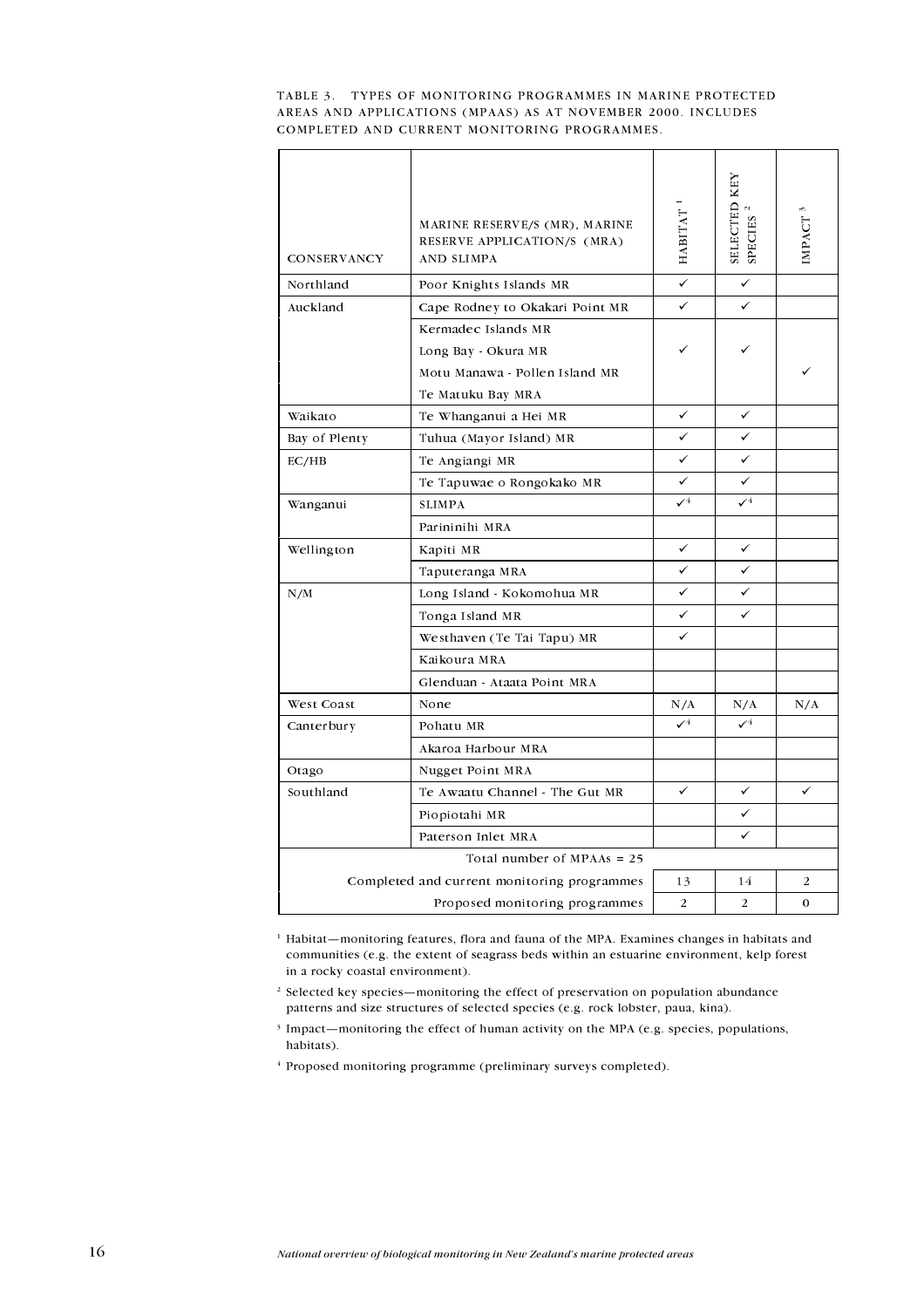#### TABLE 3. TYPES OF MONITORING PROGRAMMES IN MARINE PROTECTED AREAS AND APPLICATIONS (MPAAS) AS AT NOVEMBER 2000. INCLUDES COMPLETED AND CURRENT MONITORING PROGRAMMES.

| CONSERVANCY                  | MARINE RESERVE/S (MR), MARINE<br>RESERVE APPLICATION/S (MRA)<br>AND SLIMPA | $HABITAT$                 | <b>SELECTED KEY</b><br><b>SPECIES</b> | IMPACT <sup>3</sup> |  |
|------------------------------|----------------------------------------------------------------------------|---------------------------|---------------------------------------|---------------------|--|
| Northland                    | Poor Knights Islands MR                                                    | $\checkmark$              | $\checkmark$                          |                     |  |
| Auckland                     | Cape Rodney to Okakari Point MR                                            | ✓                         | ✓                                     |                     |  |
|                              | Kermadec Islands MR                                                        |                           |                                       |                     |  |
|                              | Long Bay Okura MR                                                          |                           |                                       |                     |  |
|                              | Motu Manawa - Pollen Island MR                                             |                           |                                       |                     |  |
|                              | Te Matuku Bay MRA                                                          |                           |                                       |                     |  |
| Waikato                      | Te Whanganui a Hei MR                                                      | $\checkmark$              | ✓                                     |                     |  |
| Bay of Plenty                | Tuhua (Mayor Island) MR                                                    | ✓                         | ✓                                     |                     |  |
| EC/HB                        | Te Angiangi MR                                                             | ✓                         | ✓                                     |                     |  |
|                              | Te Tapuwae o Rongokako MR                                                  | ✓                         | ✓                                     |                     |  |
| Wanganui                     | <b>SLIMPA</b>                                                              | $\checkmark$ <sup>4</sup> | $\checkmark$ <sup>4</sup>             |                     |  |
|                              | Parininihi MRA                                                             |                           |                                       |                     |  |
| Wellington                   | Kapiti MR                                                                  | ✓                         | ✓                                     |                     |  |
|                              | Taputeranga MRA                                                            | ✓                         | ✓                                     |                     |  |
| N/M                          | Long Island - Kokomohua MR                                                 | ✓                         | ✓                                     |                     |  |
|                              | Tonga Island MR                                                            | ✓                         | ✓                                     |                     |  |
|                              | Westhaven (Te Tai Tapu) MR                                                 | ✓                         |                                       |                     |  |
|                              | Kaikoura MRA                                                               |                           |                                       |                     |  |
|                              | Glenduan - Ataata Point MRA                                                |                           |                                       |                     |  |
| West Coast                   | None                                                                       | N/A                       | N/A                                   | N/A                 |  |
| Canterbury                   | Pohatu MR                                                                  | $\mathcal{I}^4$           | $\checkmark$ <sup>4</sup>             |                     |  |
|                              | Akaroa Harbour MRA                                                         |                           |                                       |                     |  |
| Otago                        | Nugget Point MRA                                                           |                           |                                       |                     |  |
| Southland                    | Te Awaatu Channel The Gut MR                                               | ✓                         | ✓                                     | ✓                   |  |
|                              | Piopiotahi MR                                                              |                           | ✓                                     |                     |  |
|                              | Paterson Inlet MRA                                                         |                           | ✓                                     |                     |  |
| Total number of MPAAs = $25$ |                                                                            |                           |                                       |                     |  |
|                              | Completed and current monitoring programmes                                | 13                        | 14                                    | 2                   |  |
|                              | Proposed monitoring programmes                                             | $\overline{2}$            | 2                                     | $\mathbf 0$         |  |

<sup>1</sup> Habitat—monitoring features, flora and fauna of the MPA. Examines changes in habitats and communities (e.g. the extent of seagrass beds within an estuarine environment, kelp forest in a rocky coastal environment).

<sup>2</sup> Selected key species—monitoring the effect of preservation on population abundance patterns and size structures of selected species (e.g. rock lobster, paua, kina).

<sup>3</sup> Impact—monitoring the effect of human activity on the MPA (e.g. species, populations, habitats).

<sup>4</sup> Proposed monitoring programme (preliminary surveys completed).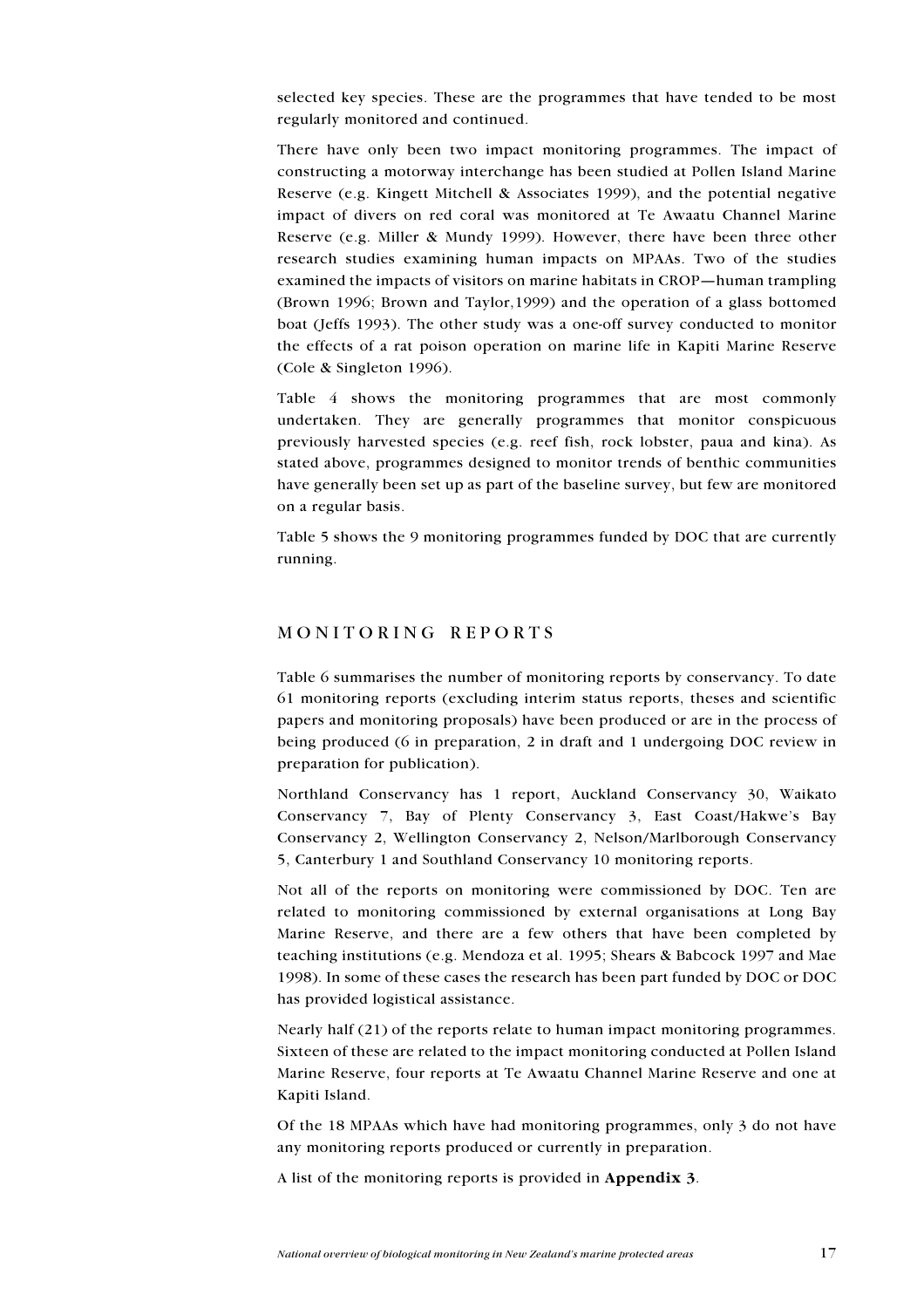selected key species. These are the programmes that have tended to be most regularly monitored and continued.

There have only been two impact monitoring programmes. The impact of constructing a motorway interchange has been studied at Pollen Island Marine Reserve (e.g. Kingett Mitchell & Associates 1999), and the potential negative impact of divers on red coral was monitored at Te Awaatu Channel Marine Reserve (e.g. Miller & Mundy 1999). However, there have been three other research studies examining human impacts on MPAAs. Two of the studies examined the impacts of visitors on marine habitats in CROP—human trampling (Brown 1996; Brown and Taylor, 1999) and the operation of a glass bottomed boat (Jeffs 1993). The other study was a one-off survey conducted to monitor the effects of a rat poison operation on marine life in Kapiti Marine Reserve (Cole & Singleton 1996).

Table 4 shows the monitoring programmes that are most commonly undertaken. They are generally programmes that monitor conspicuous previously harvested species (e.g. reef fish, rock lobster, paua and kina). As stated above, programmes designed to monitor trends of benthic communities have generally been set up as part of the baseline survey, but few are monitored on a regular basis.

Table 5 shows the 9 monitoring programmes funded by DOC that are currently running.

### MONITORING REPORTS

Table 6 summarises the number of monitoring reports by conservancy. To date 61 monitoring reports (excluding interim status reports, theses and scientific papers and monitoring proposals) have been produced or are in the process of being produced (6 in preparation, 2 in draft and 1 undergoing DOC review in preparation for publication).

Northland Conservancy has 1 report, Auckland Conservancy 30, Waikato Conservancy 7, Bay of Plenty Conservancy 3, East Coast/Hakwe's Bay Conservancy 2, Wellington Conservancy 2, Nelson/Marlborough Conservancy 5. Canterbury 1 and Southland Conservancy 10 monitoring reports.

Not all of the reports on monitoring were commissioned by DOC. Ten are related to monitoring commissioned by external organisations at Long Bay Marine Reserve, and there are a few others that have been completed by teaching institutions (e.g. Mendoza et al. 1995; Shears & Babcock 1997 and Mae 1998). In some of these cases the research has been part funded by DOC or DOC has provided logistical assistance.

Nearly half  $(21)$  of the reports relate to human impact monitoring programmes. Sixteen of these are related to the impact monitoring conducted at Pollen Island Marine Reserve, four reports at Te Awaatu Channel Marine Reserve and one at Kapiti Island.

Of the 18 MPAAs which have had monitoring programmes, only 3 do not have any monitoring reports produced or currently in preparation.

A list of the monitoring reports is provided in Appendix 3.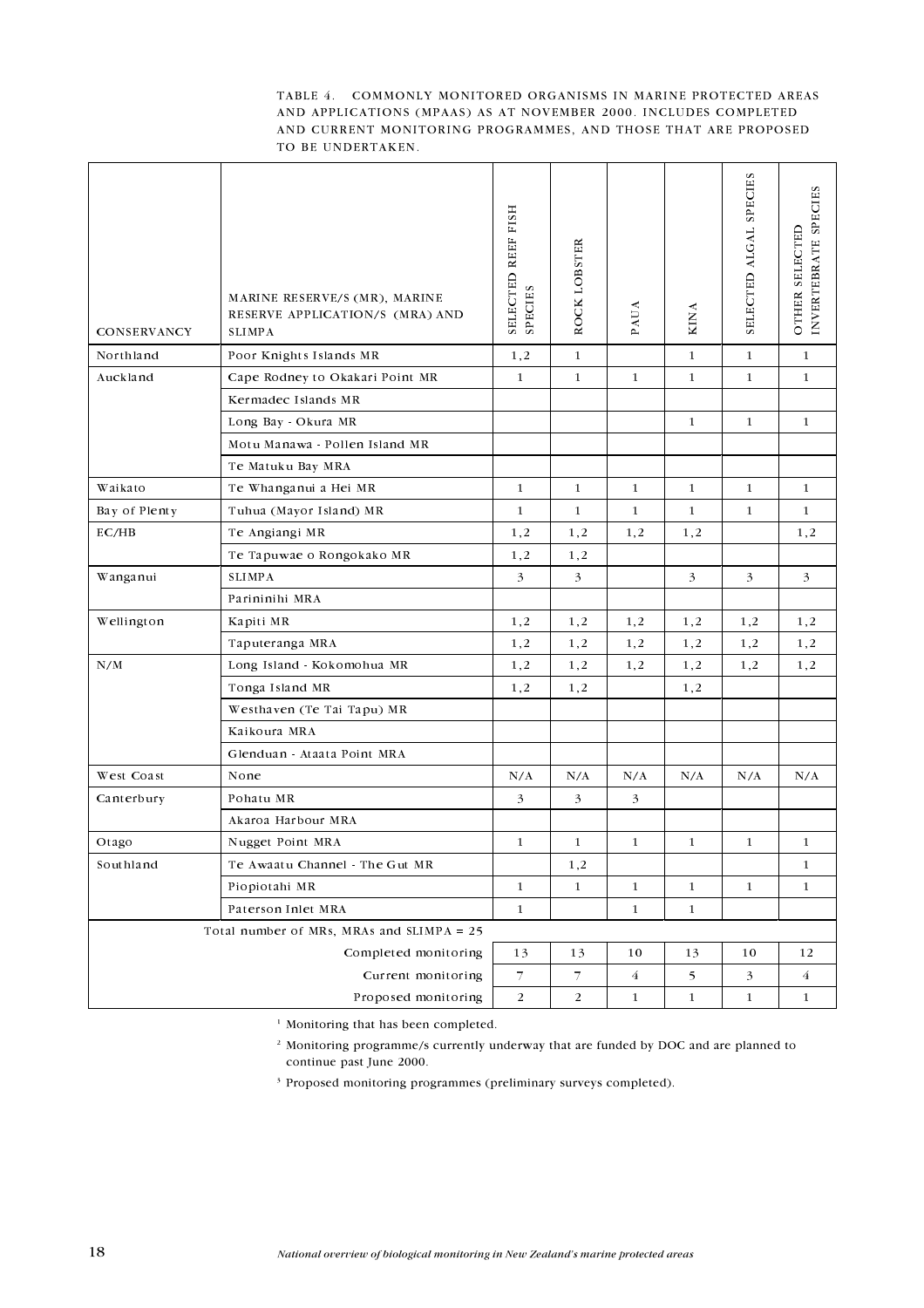#### TABLE 4. COMMONLY MONITORED ORGANISMS IN MARINE PROTECTED AREAS AND APPLICATIONS (MPAAS) AS AT NOVEMBER 2000. INCLUDES COMPLETED AND CURRENT MONITORING PROGRAMMES, AND THOSE THAT ARE PROPOSED TO BE UNDERTAKEN.

| <b>CONSERVANCY</b>                          | MARINE RESERVE/S (MR), MARINE<br>RESERVE APPLICATION/S (MRA) AND<br><b>SLIMPA</b> | SELECTED REEF FISH<br><b>SPECIES</b> | ROCK LOBSTER             | <b>PAUA</b>    | <b>KINA</b>  | SELECTED ALGAL SPECIES | INVERTEBRATE SPECIES<br>OTHER SELECTED |
|---------------------------------------------|-----------------------------------------------------------------------------------|--------------------------------------|--------------------------|----------------|--------------|------------------------|----------------------------------------|
| Northland                                   | Poor Knights Islands MR                                                           | 1,2                                  | $\mathbf{1}$             |                | $\mathbf{1}$ | $\mathbf{1}$           | $\mathbf{1}$                           |
| Auckland                                    | Cape Rodney to Okakari Point MR                                                   | $\mathbf{1}$                         | $\mathbf{1}$             | $\mathbf{1}$   | $\mathbf{1}$ | $\mathbf{1}$           | $\mathbf{1}$                           |
|                                             | Kermadec Islands MR                                                               |                                      |                          |                |              |                        |                                        |
|                                             | Long Bay - Okura MR                                                               |                                      |                          |                | 1            | 1                      | 1                                      |
|                                             | Motu Manawa - Pollen Island MR                                                    |                                      |                          |                |              |                        |                                        |
|                                             | Te Matuku Bay MRA                                                                 |                                      |                          |                |              |                        |                                        |
| Waikato                                     | Te Whanganui a Hei MR                                                             | $\mathbf{1}$                         | $\mathbf{1}$             | $\mathbf{1}$   | 1            | $\mathbf{1}$           | 1                                      |
| Bay of Plenty                               | Tuhua (Mayor Island) MR                                                           | $\mathbf{1}$                         | $\mathbf{1}$             | $\mathbf{1}$   | 1            | $\mathbf{1}$           | $\mathbf{1}$                           |
| EC/HB                                       | Te Angiangi MR                                                                    | 1,2                                  | 1,2                      | 1,2            | 1,2          |                        | 1,2                                    |
|                                             | Te Tapuwae o Rongokako MR                                                         | 1,2                                  | 1,2                      |                |              |                        |                                        |
| Wanganui                                    | <b>SLIMPA</b>                                                                     | 3                                    | $\overline{3}$           |                | 3            | 3                      | 3 <sup>1</sup>                         |
|                                             | Parininihi MRA                                                                    |                                      |                          |                |              |                        |                                        |
| Wellington                                  | Kapiti MR                                                                         | 1,2                                  | 1,2                      | 1,2            | 1,2          | 1,2                    | 1,2                                    |
|                                             | Taputeranga MRA                                                                   | 1,2                                  | 1,2                      | 1,2            | 1,2          | 1,2                    | 1,2                                    |
| N/M                                         | Long Island - Kokomohua MR                                                        | 1,2                                  | 1,2                      | 1,2            | 1,2          | 1,2                    | 1,2                                    |
|                                             | Tonga Island MR                                                                   | 1,2                                  | 1,2                      |                | 1,2          |                        |                                        |
|                                             | Westhaven (Te Tai Tapu) MR                                                        |                                      |                          |                |              |                        |                                        |
|                                             | Kaikoura MRA                                                                      |                                      |                          |                |              |                        |                                        |
|                                             | Glenduan - Ataata Point MRA                                                       |                                      |                          |                |              |                        |                                        |
| West Coast                                  | None                                                                              | N/A                                  | N/A                      | N/A            | N/A          | N/A                    | N/A                                    |
| Canterbury                                  | Pohatu MR                                                                         | 3                                    | 3                        | 3              |              |                        |                                        |
|                                             | Akaroa Harbour MRA                                                                |                                      |                          |                |              |                        |                                        |
| Otago                                       | Nugget Point MRA                                                                  | $\mathbf{1}$                         | $\mathbf{1}$             | 1              | 1            | $\mathbf{1}$           | 1                                      |
| Southland                                   | Te Awaatu Channel The Gut MR                                                      |                                      | 1,2                      |                |              |                        | 1                                      |
|                                             | Piopiotahi MR                                                                     | $\mathbf{1}$                         | $\mathbf{1}$             | $\mathbf{1}$   | $\mathbf{1}$ | $\mathbf{1}$           | $\mathbf{1}$                           |
|                                             | Paterson Inlet MRA                                                                | $\mathbf 1$                          |                          | $\mathbf{1}$   | $\mathbf{1}$ |                        |                                        |
| Total number of MRs, MRAs and SLIMPA $= 25$ |                                                                                   |                                      |                          |                |              |                        |                                        |
|                                             | Completed monitoring                                                              | 13                                   | 13                       | 10             | 13           | 10                     | 12                                     |
|                                             | Current monitoring                                                                | $\overline{7}$                       | $\overline{\mathcal{I}}$ | $\overline{4}$ | 5            | $\overline{3}$         | $\overline{4}$                         |
|                                             | Proposed monitoring                                                               | $\overline{2}$                       | $\overline{2}$           | $\mathbf{1}$   | $\mathbf{1}$ | $\mathbf{1}$           | $\mathbf{1}$                           |

<sup>1</sup> Monitoring that has been completed.

<sup>2</sup> Monitoring programme/s currently underway that are funded by DOC and are planned to continue past June 2000.

<sup>3</sup> Proposed monitoring programmes (preliminary surveys completed).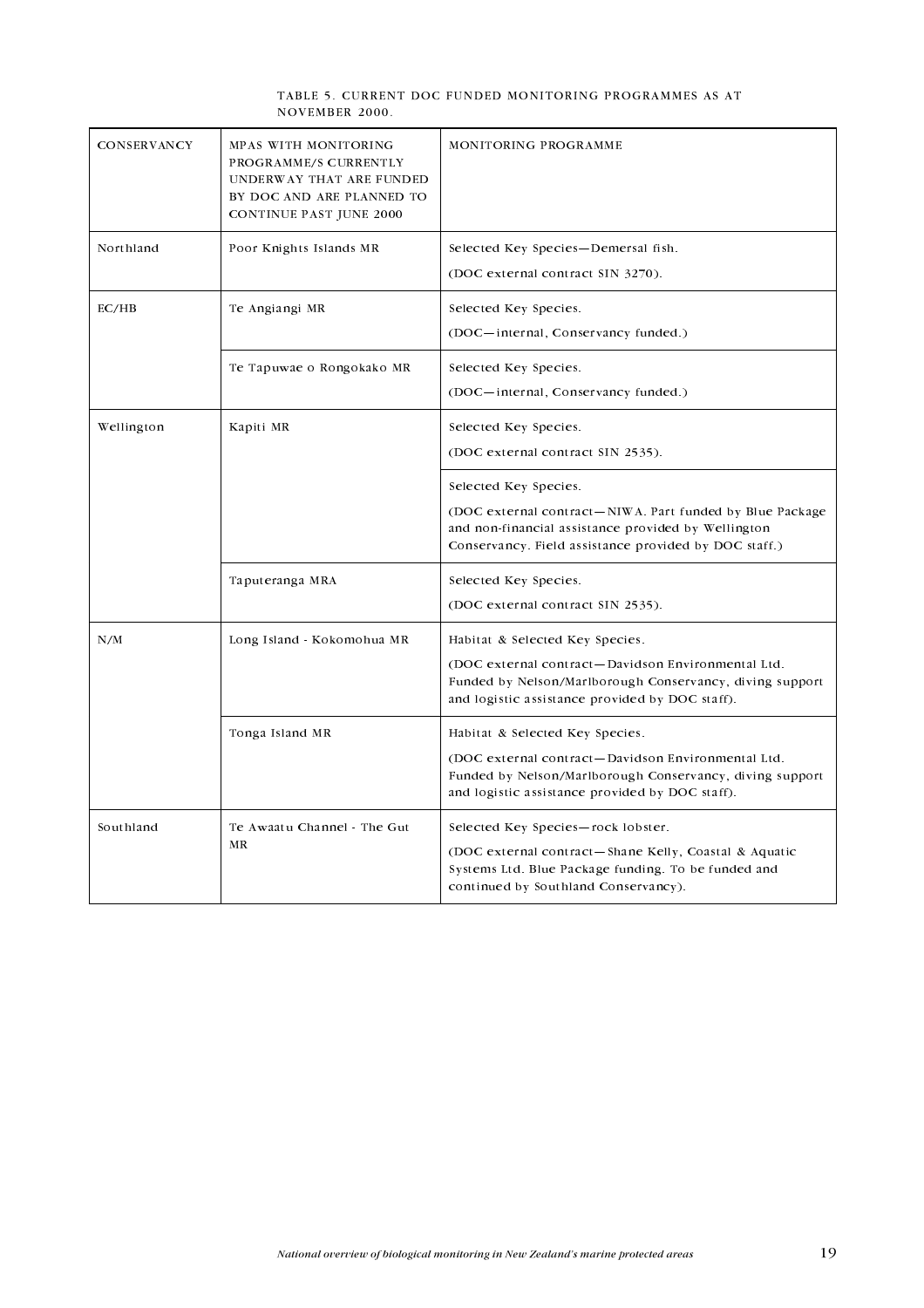#### TABLE 5. CURRENT DOC FUNDED MONITORING PROGRAMMES AS AT NOVEMBER 2000.

| <b>CONSERVANCY</b> | MPAS WITH MONITORING<br>PROGRAMME/S CURRENTLY<br>UNDERWAY THAT ARE FUNDED<br>BY DOC AND ARE PLANNED TO<br><b>CONTINUE PAST JUNE 2000</b> | MONITORING PROGRAMME                                                                                                                                                                                 |
|--------------------|------------------------------------------------------------------------------------------------------------------------------------------|------------------------------------------------------------------------------------------------------------------------------------------------------------------------------------------------------|
| Northland          | Poor Knights Islands MR                                                                                                                  | Selected Key Species-Demersal fish.<br>(DOC external contract SIN 3270).                                                                                                                             |
| EC/HB              | Te Angiangi MR                                                                                                                           | Selected Key Species.<br>(DOC-internal, Conservancy funded.)                                                                                                                                         |
|                    | Te Tapuwae o Rongokako MR                                                                                                                | Selected Key Species.<br>(DOC-internal, Conservancy funded.)                                                                                                                                         |
| Wellington         | Kapiti MR                                                                                                                                | Selected Key Species.<br>(DOC external contract SIN 2535).                                                                                                                                           |
|                    |                                                                                                                                          | Selected Key Species.<br>(DOC external contract—NIWA Part funded by Blue Package<br>and non-financial assistance provided by Wellington<br>Conservancy. Field assistance provided by DOC staff.)     |
|                    | Taputeranga MRA                                                                                                                          | Selected Key Species.<br>(DOC external contract SIN 2535).                                                                                                                                           |
| N/M                | Long Island - Kokomohua MR                                                                                                               | Habitat & Selected Key Species.<br>(DOC external contract-Davidson Environmental Ltd.<br>Funded by Nelson/Marlborough Conservancy, diving support<br>and logistic assistance provided by DOC staff). |
|                    | Tonga Island MR                                                                                                                          | Habitat & Selected Key Species.<br>(DOC external contract-Davidson Environmental Ltd.<br>Funded by Nelson/Marlborough Conservancy, diving support<br>and logistic assistance provided by DOC staff). |
| Southland          | Te Awaatu Channel The Gut<br>MR                                                                                                          | Selected Key Species-rock lobster.<br>(DOC external contract-Shane Kelly, Coastal & Aquatic<br>Systems Ltd. Blue Package funding. To be funded and<br>continued by Southland Conservancy).           |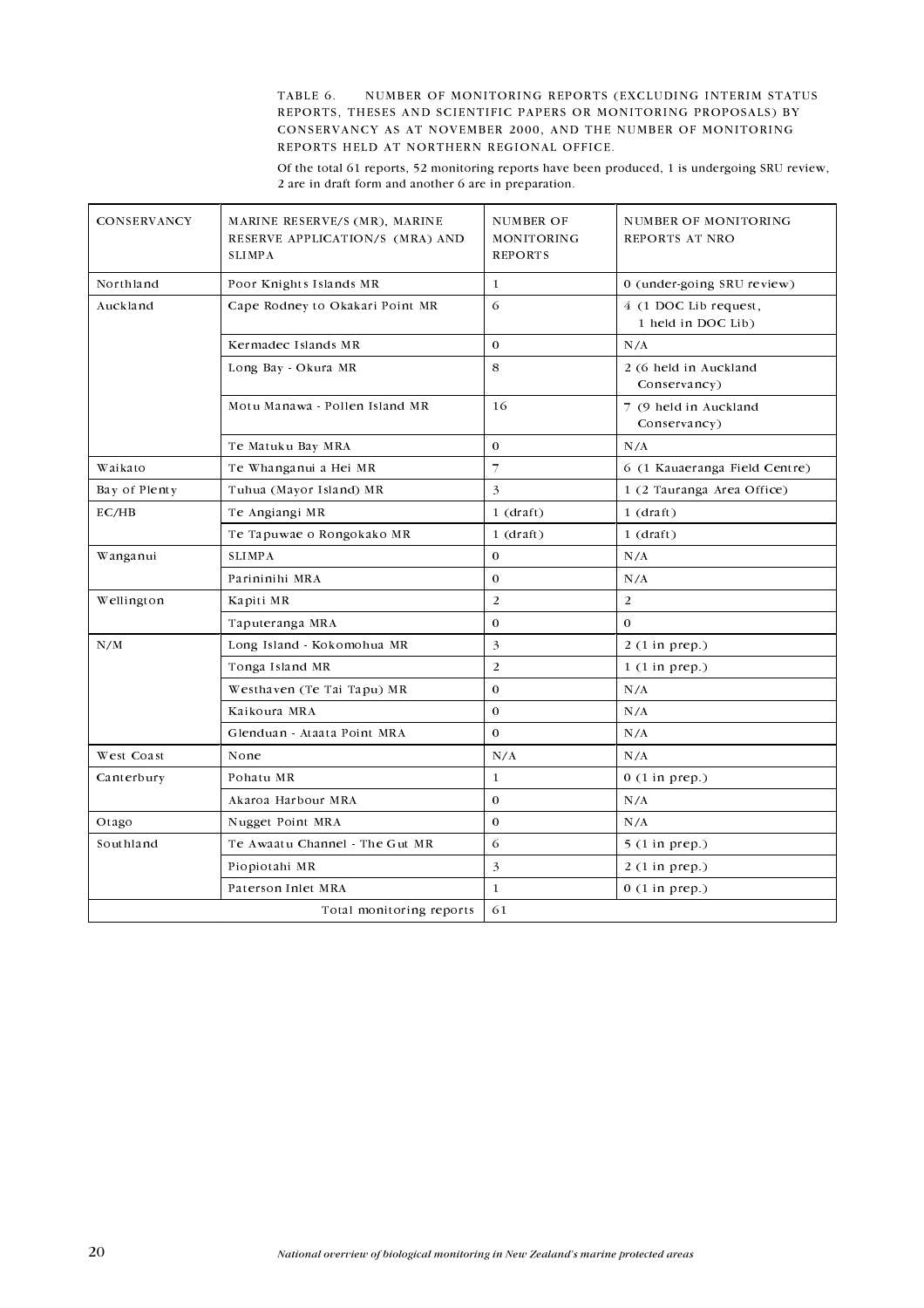TABLE 6. 6. NUMBER OF MONITORING REPORTS (EXCLUDING INTERIM STATUS REPORTS, THESES AND SCIENTIFIC PAPERS OR MONITORING PROPOSALS) BY CONSERVANCY AS AT NOVEMBER 2000, AND THE NUMBER OF MONITORING REPORTS HELD AT NORTHERN REGIONAL OFFICE.

Of the total 61 reports, 52 monitoring reports have been produced, 1 is undergoing SRU review, 2 are in draft form and another 6 are in preparation.

| <b>CONSERVANCY</b>       | MARINE RESERVE/S (MR), MARINE<br>RESERVE APPLICATION/S (MRA) AND<br><b>SLIMPA</b> | NUMBER OF<br>MONITORING<br><b>REPORTS</b> | NUMBER OF MONITORING<br>REPORTS AT NRO      |
|--------------------------|-----------------------------------------------------------------------------------|-------------------------------------------|---------------------------------------------|
| Northland                | Poor Knights Islands MR                                                           | $\mathbf{1}$                              | 0 (under-going SRU review)                  |
| Auckland                 | Cape Rodney to Okakari Point MR                                                   | 6                                         | 4 (1 DOC Lib request,<br>1 held in DOC Lib) |
|                          | Kermadec Islands MR                                                               | $\Omega$                                  | N/A                                         |
|                          | Long Bay - Okura MR                                                               | 8                                         | 2 (6 held in Auckland<br>Conservancy)       |
|                          | Motu Manawa - Pollen Island MR                                                    | 16                                        | 7 (9 held in Auckland<br>Conservancy)       |
|                          | Te Matuku Bay MRA                                                                 | $\mathbf 0$                               | N/A                                         |
| Waikato                  | Te Whanganui a Hei MR                                                             | 7                                         | 6 (1 Kauaeranga Field Centre)               |
| Bay of Plenty            | Tuhua (Mayor Island) MR                                                           | 3                                         | 1 (2 Tauranga Area Office)                  |
| EC/HB                    | Te Angiangi MR                                                                    | $1$ (draft)                               | $1$ (draft)                                 |
|                          | Te Tapuwae o Rongokako MR                                                         | $1$ (draft)                               | $1$ (draft)                                 |
| Wanganui                 | <b>SLIMPA</b>                                                                     | $\mathbf{0}$                              | N/A                                         |
|                          | Parininihi MRA                                                                    | $\mathbf{0}$                              | N/A                                         |
| Wellington               | Kapiti MR                                                                         | $\overline{2}$                            | $\overline{2}$                              |
|                          | Taputeranga MRA                                                                   | $\Omega$                                  | $\Omega$                                    |
| N/M                      | Long Island - Kokomohua MR                                                        | 3                                         | $2(1$ in prep.)                             |
|                          | Tonga Island MR                                                                   | $\overline{2}$                            | $1(1$ in prep.)                             |
|                          | Westhaven (Te Tai Tapu) MR                                                        | $\mathbf 0$                               | N/A                                         |
|                          | Kaikoura MRA                                                                      | $\Omega$                                  | N/A                                         |
|                          | Glenduan - Ataata Point MRA                                                       | $\Omega$                                  | N/A                                         |
| West Coast               | None                                                                              | N/A                                       | N/A                                         |
| Canterbury               | Pohatu MR                                                                         | $\mathbf{1}$                              | $0(1$ in prep.)                             |
|                          | Akaroa Harbour MRA                                                                | $\mathbf{0}$                              | N/A                                         |
| Otago                    | Nugget Point MRA                                                                  | $\mathbf{0}$                              | N/A                                         |
| Southland                | Te Awaatu Channel The Gut MR                                                      | 6                                         | $5(1 \text{ in } \text{prep.})$             |
|                          | Piopiotahi MR                                                                     | 3                                         | $2(1$ in prep.)                             |
|                          | Paterson Inlet MRA                                                                | $\mathbf{1}$                              | $0(1$ in prep.)                             |
| Total monitoring reports |                                                                                   | 61                                        |                                             |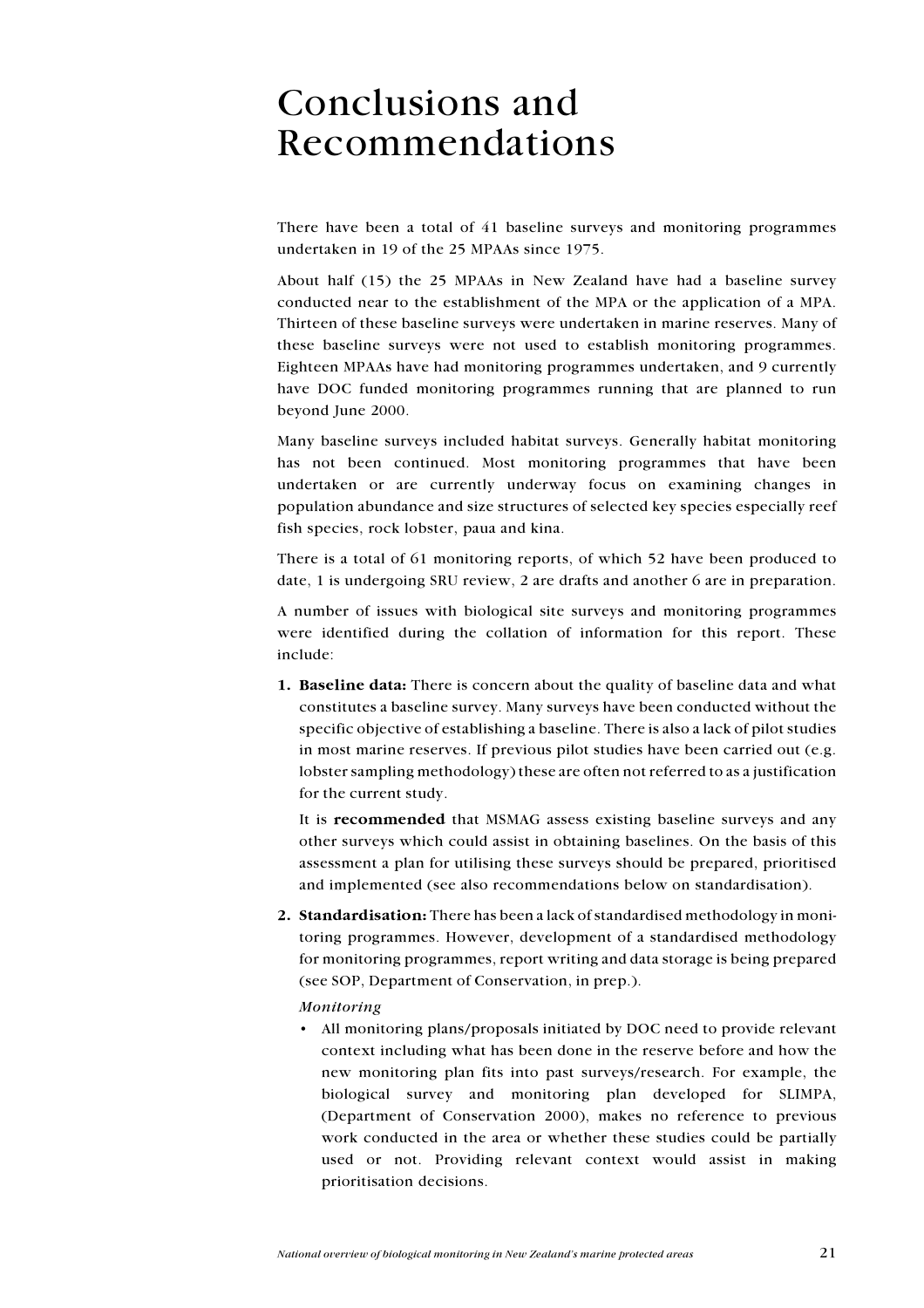# **Conclusions and** Recommendations

There have been a total of 41 baseline surveys and monitoring programmes undertaken in 19 of the 25 MPAAs since 1975.

About half (15) the 25 MPAAs in New Zealand have had a baseline survey conducted near to the establishment of the MPA or the application of a MPA. Thirteen of these baseline surveys were undertaken in marine reserves. Many of these baseline surveys were not used to establish monitoring programmes. Eighteen MPAAs have had monitoring programmes undertaken, and 9 currently have DOC funded monitoring programmes running that are planned to run beyond June 2000.

Many baseline surveys included habitat surveys. Generally habitat monitoring has not been continued. Most monitoring programmes that have been undertaken or are currently underway focus on examining changes in population abundance and size structures of selected key species especially reef fish species, rock lobster, paua and kina.

There is a total of 61 monitoring reports, of which 52 have been produced to date, 1 is undergoing SRU review, 2 are drafts and another 6 are in preparation.

A number of issues with biological site surveys and monitoring programmes were identified during the collation of information for this report. These include:

1. Baseline data: There is concern about the quality of baseline data and what constitutes a baseline survey. Many surveys have been conducted without the specific objective of establishing a baseline. There is also a lack of pilot studies in most marine reserves. If previous pilot studies have been carried out (e.g. lobster sampling methodology) these are often not referred to as a justification for the current study.

It is recommended that MSMAG assess existing baseline surveys and any other surveys which could assist in obtaining baselines. On the basis of this assessment a plan for utilising these surveys should be prepared, prioritised and implemented (see also recommendations below on standardisation).

2. Standardisation: There has been a lack of standardised methodology in monitoring programmes. However, development of a standardised methodology for monitoring programmes, report writing and data storage is being prepared (see SOP, Department of Conservation, in prep.).

### Monitoring

• All monitoring plans/proposals initiated by DOC need to provide relevant context including what has been done in the reserve before and how the new monitoring plan fits into past surveys/research. For example, the biological survey and monitoring plan developed for SLIMPA, (Department of Conservation 2000), makes no reference to previous work conducted in the area or whether these studies could be partially used or not. Providing relevant context would assist in making prioritisation decisions.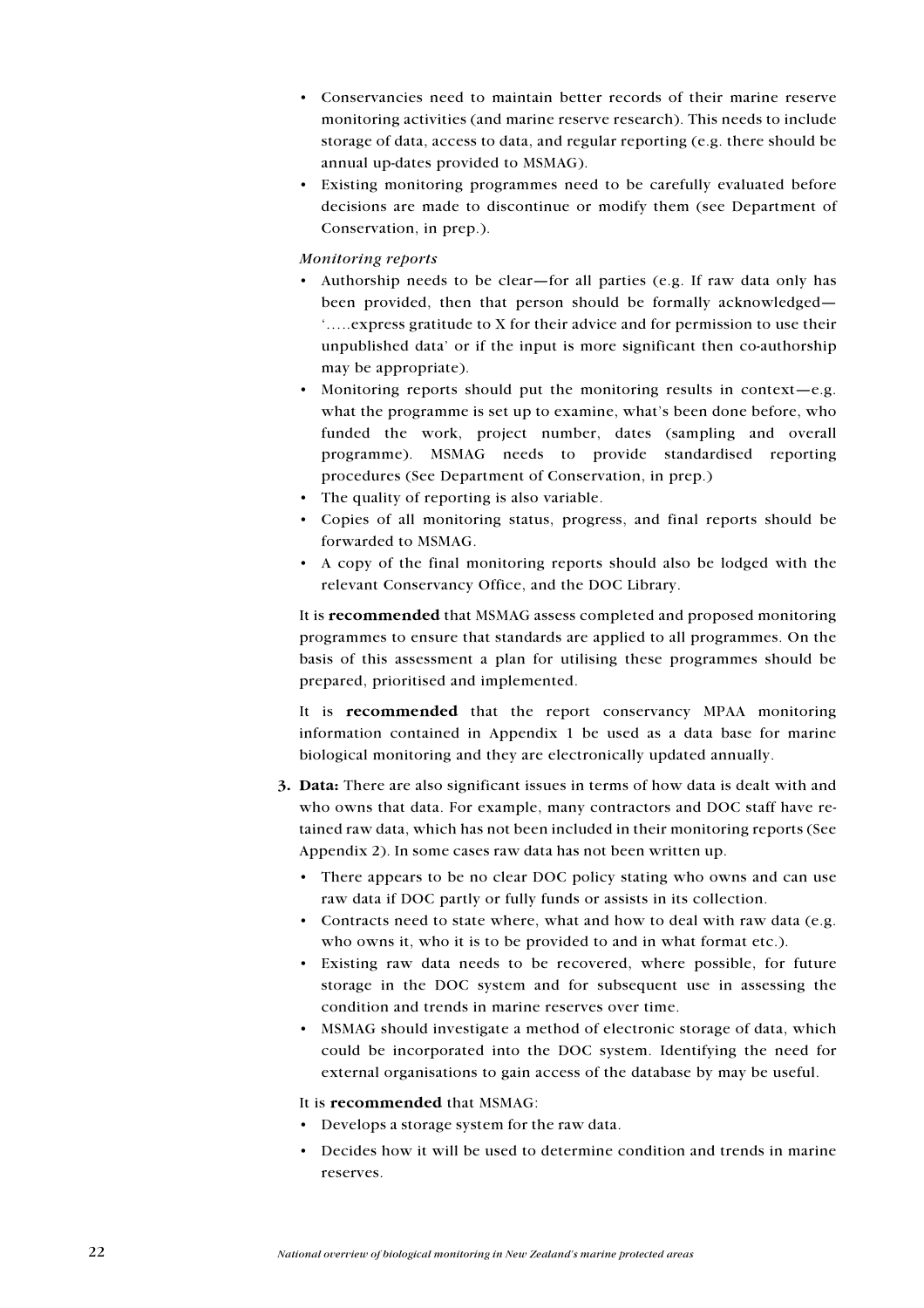- Conservancies need to maintain better records of their marine reserve monitoring activities (and marine reserve research). This needs to include storage of data, access to data, and regular reporting (e.g. there should be annual up-dates provided to MSMAG).
- Existing monitoring programmes need to be carefully evaluated before decisions are made to discontinue or modify them (see Department of Conservation, in prep.).

### Monitoring reports

- Authorship needs to be clear—for all parties (e.g. If raw data only has been provided, then that person should be formally acknowledged-'...... express gratitude to X for their advice and for permission to use their unpublished data' or if the input is more significant then co-authorship may be appropriate).
- Monitoring reports should put the monitoring results in context-e.g. what the programme is set up to examine, what's been done before, who funded the work, project number, dates (sampling and overall programme). MSMAG needs to provide standardised reporting procedures (See Department of Conservation, in prep.)
- The quality of reporting is also variable.
- Copies of all monitoring status, progress, and final reports should be forwarded to MSMAG.
- A copy of the final monitoring reports should also be lodged with the relevant Conservancy Office, and the DOC Library.

It is recommended that MSMAG assess completed and proposed monitoring programmes to ensure that standards are applied to all programmes. On the basis of this assessment a plan for utilising these programmes should be prepared, prioritised and implemented.

It is recommended that the report conservancy MPAA monitoring information contained in Appendix 1 be used as a data base for marine biological monitoring and they are electronically updated annually.

- 3. Data: There are also significant issues in terms of how data is dealt with and who owns that data. For example, many contractors and DOC staff have retained raw data, which has not been included in their monitoring reports (See Appendix 2). In some cases raw data has not been written up.
	- There appears to be no clear DOC policy stating who owns and can use raw data if DOC partly or fully funds or assists in its collection.
	- Contracts need to state where, what and how to deal with raw data (e.g. who owns it, who it is to be provided to and in what format etc.).
	- Existing raw data needs to be recovered, where possible, for future storage in the DOC system and for subsequent use in assessing the condition and trends in marine reserves over time.
	- MSMAG should investigate a method of electronic storage of data, which could be incorporated into the DOC system. Identifying the need for external organisations to gain access of the database by may be useful.

### It is recommended that MSMAG:

- Develops a storage system for the raw data.
- Decides how it will be used to determine condition and trends in marine reserves.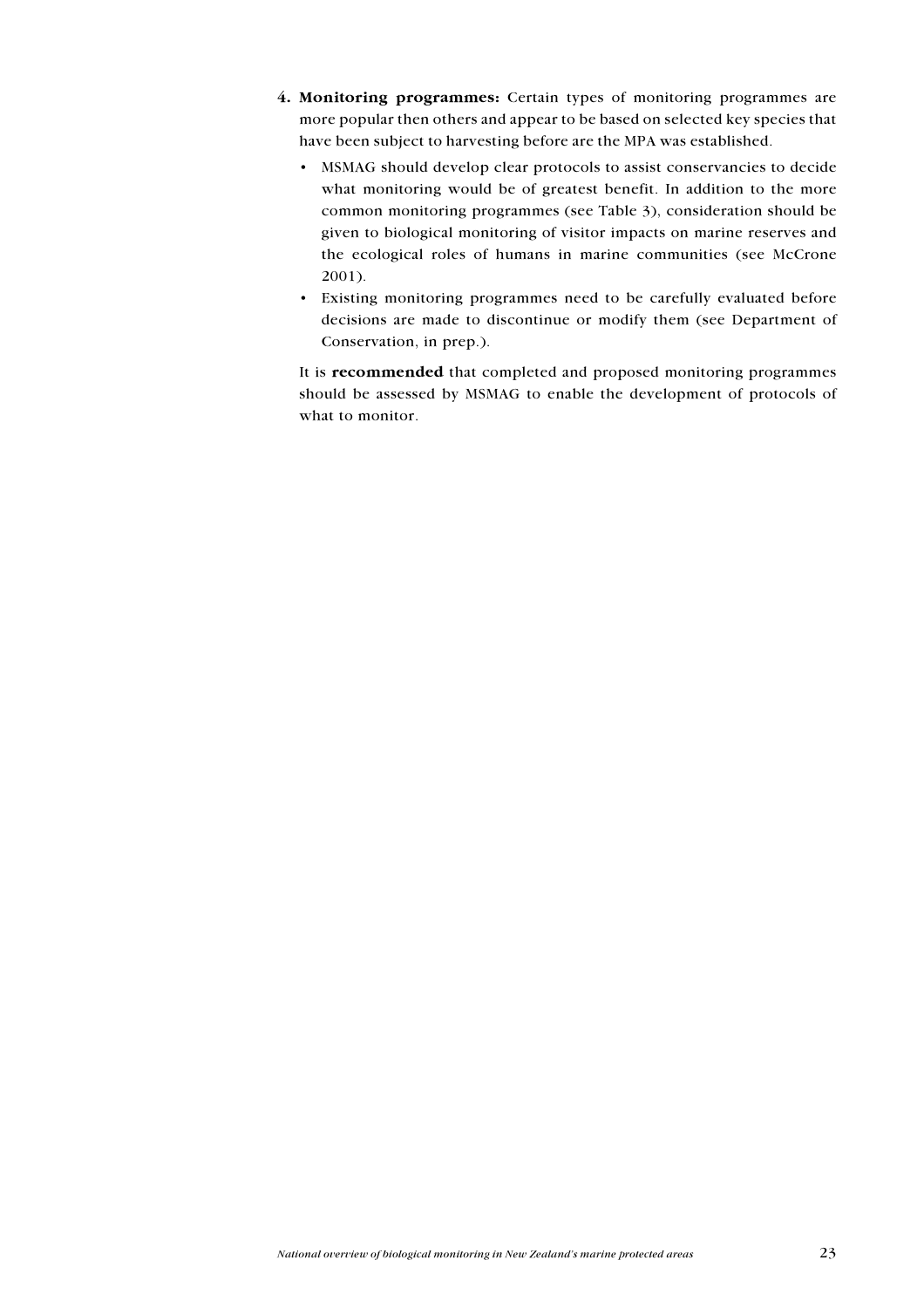- 4. Monitoring programmes: Certain types of monitoring programmes are more popular then others and appear to be based on selected key species that have been subject to harvesting before are the MPA was established.
	- MSMAG should develop clear protocols to assist conservancies to decide what monitoring would be of greatest benefit. In addition to the more common monitoring programmes (see Table 3), consideration should be given to biological monitoring of visitor impacts on marine reserves and the ecological roles of humans in marine communities (see McCrone  $2001$ ).
	- Existing monitoring programmes need to be carefully evaluated before decisions are made to discontinue or modify them (see Department of Conservation, in prep.).

It is recommended that completed and proposed monitoring programmes should be assessed by MSMAG to enable the development of protocols of what to monitor.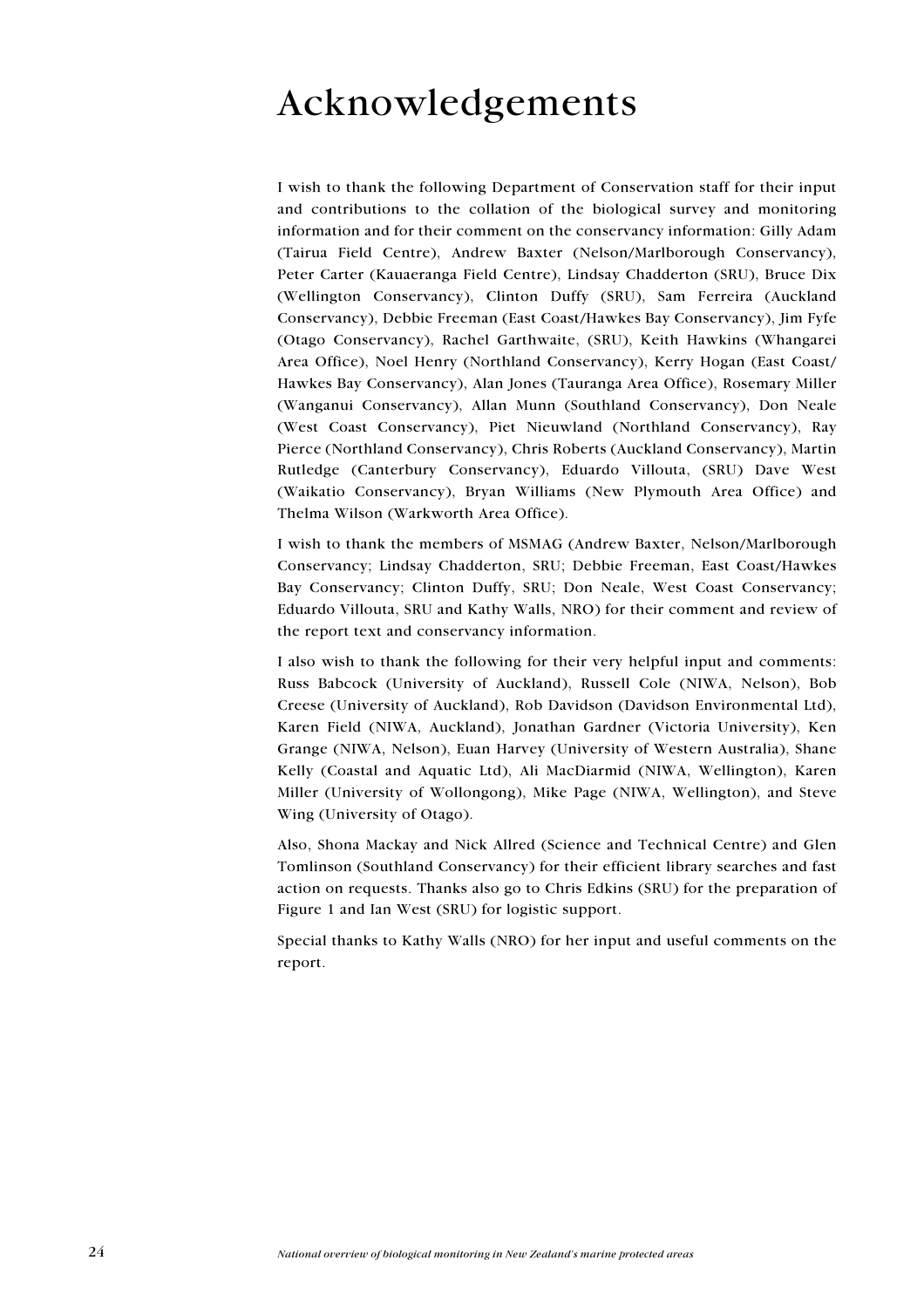# Acknowledgements

I wish to thank the following Department of Conservation staff for their input and contributions to the collation of the biological survey and monitoring information and for their comment on the conservancy information: Gilly Adam (Tairua Field Centre), Andrew Baxter (Nelson/Marlborough Conservancy), Peter Carter (Kauaeranga Field Centre), Lindsay Chadderton (SRU), Bruce Dix (Wellington Conservancy), Clinton Duffy (SRU), Sam Ferreira (Auckland Conservancy). Debbie Freeman (East Coast/Hawkes Bay Conservancy). Jim Fyfe (Otago Conservancy), Rachel Garthwaite, (SRU), Keith Hawkins (Whangarei) Area Office), Noel Henry (Northland Conservancy), Kerry Hogan (East Coast/ Hawkes Bay Conservancy), Alan Jones (Tauranga Area Office), Rosemary Miller (Wanganui Conservancy), Allan Munn (Southland Conservancy), Don Neale (West Coast Conservancy), Piet Nieuwland (Northland Conservancy), Ray Pierce (Northland Conservancy), Chris Roberts (Auckland Conservancy), Martin Rutledge (Canterbury Conservancy), Eduardo Villouta, (SRU) Dave West (Waikatio Conservancy), Bryan Williams (New Plymouth Area Office) and Thelma Wilson (Warkworth Area Office).

I wish to thank the members of MSMAG (Andrew Baxter, Nelson/Marlborough Conservancy; Lindsay Chadderton, SRU; Debbie Freeman, East Coast/Hawkes Bay Conservancy; Clinton Duffy, SRU; Don Neale, West Coast Conservancy; Eduardo Villouta, SRU and Kathy Walls, NRO) for their comment and review of the report text and conservancy information.

I also wish to thank the following for their very helpful input and comments: Russ Babcock (University of Auckland), Russell Cole (NIWA, Nelson), Bob Creese (University of Auckland), Rob Davidson (Davidson Environmental Ltd), Karen Field (NIWA, Auckland), Jonathan Gardner (Victoria University), Ken Grange (NIWA, Nelson), Euan Harvey (University of Western Australia), Shane Kelly (Coastal and Aquatic Ltd), Ali MacDiarmid (NIWA, Wellington), Karen Miller (University of Wollongong), Mike Page (NIWA, Wellington), and Steve Wing (University of Otago).

Also, Shona Mackay and Nick Allred (Science and Technical Centre) and Glen Tomlinson (Southland Conservancy) for their efficient library searches and fast action on requests. Thanks also go to Chris Edkins (SRU) for the preparation of Figure 1 and Ian West (SRU) for logistic support.

Special thanks to Kathy Walls (NRO) for her input and useful comments on the report.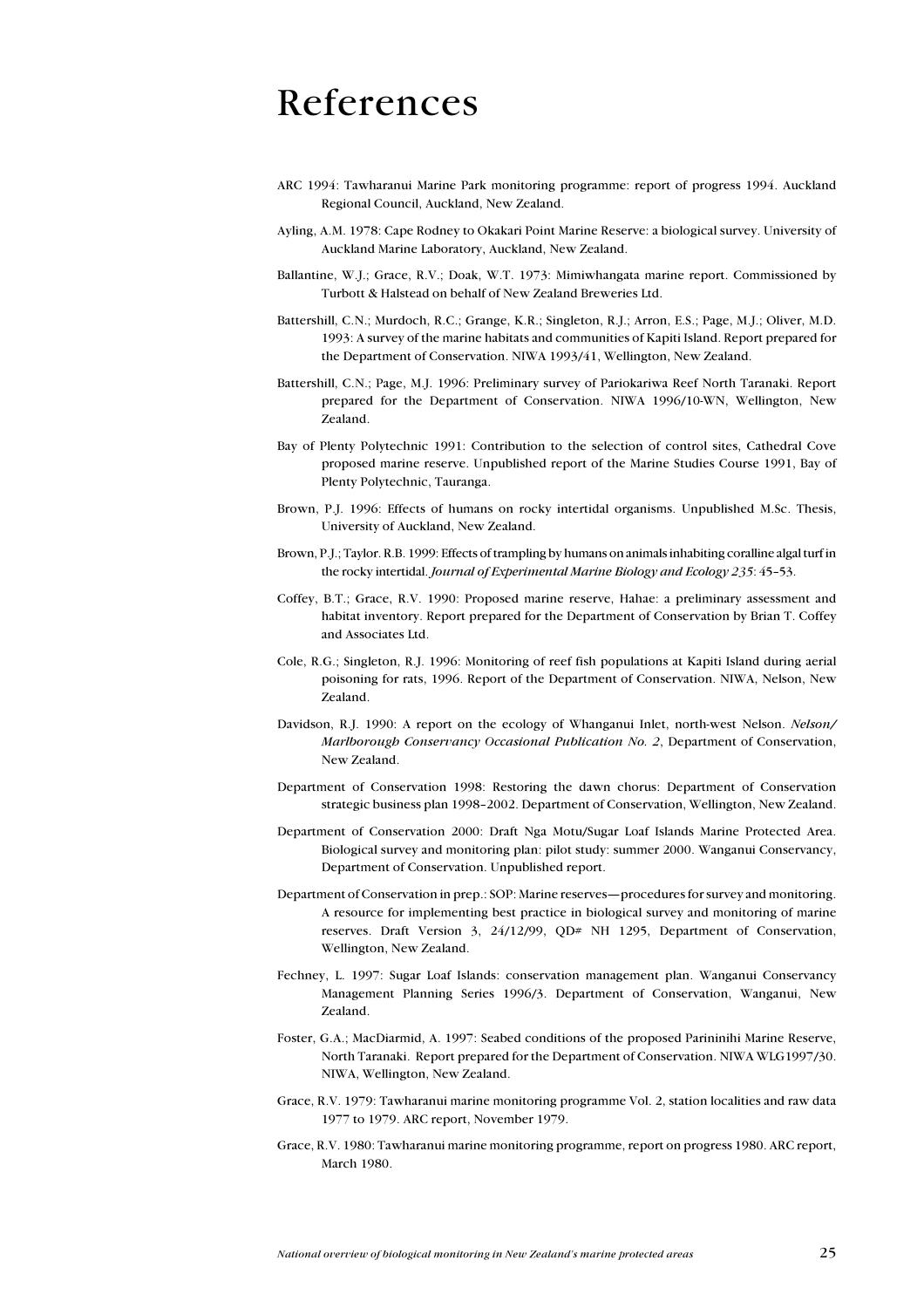## References

- ARC 1994: Tawharanui Marine Park monitoring programme: report of progress 1994. Auckland Regional Council, Auckland, New Zealand.
- Ayling, A.M. 1978: Cape Rodney to Okakari Point Marine Reserve: a biological survey. University of Auckland Marine Laboratory, Auckland, New Zealand.
- Ballantine, W.J.; Grace, R.V.; Doak, W.T. 1973: Mimiwhangata marine report. Commissioned by Turbott & Halstead on behalf of New Zealand Breweries Ltd.
- Battershill, C.N.; Murdoch, R.C.; Grange, K.R.; Singleton, R.J.; Arron, E.S.; Page, M.J.; Oliver, M.D. 1993: A survey of the marine habitats and communities of Kapiti Island. Report prepared for the Department of Conservation. NIWA 1993/41, Wellington, New Zealand.
- Battershill, C.N.; Page, M.J. 1996: Preliminary survey of Pariokariwa Reef North Taranaki. Report prepared for the Department of Conservation. NIWA 1996/10-WN, Wellington, New Zealand.
- Bay of Plenty Polytechnic 1991: Contribution to the selection of control sites. Cathedral Cove proposed marine reserve. Unpublished report of the Marine Studies Course 1991, Bay of Plenty Polytechnic, Tauranga.
- Brown, P.J. 1996: Effects of humans on rocky intertidal organisms. Unpublished M.Sc. Thesis, University of Auckland, New Zealand.
- Brown, P.J.; Taylor. R.B. 1999: Effects of trampling by humans on animals inhabiting coralline algal turf in the rocky intertidal. Journal of Experimental Marine Biology and Ecology 235: 45-53.
- Coffey, B.T.; Grace, R.V. 1990: Proposed marine reserve, Hahae: a preliminary assessment and habitat inventory. Report prepared for the Department of Conservation by Brian T. Coffey and Associates Ltd
- Cole, R.G.; Singleton, R.J. 1996: Monitoring of reef fish populations at Kapiti Island during aerial poisoning for rats, 1996. Report of the Department of Conservation. NIWA, Nelson, New Zealand.
- Davidson, R.J. 1990: A report on the ecology of Whanganui Inlet, north-west Nelson. Nelson/ Marlborough Conservancy Occasional Publication No. 2, Department of Conservation, New Zealand.
- Department of Conservation 1998: Restoring the dawn chorus: Department of Conservation strategic business plan 1998-2002. Department of Conservation, Wellington, New Zealand.
- Department of Conservation 2000: Draft Nga Motu/Sugar Loaf Islands Marine Protected Area. Biological survey and monitoring plan: pilot study: summer 2000. Wanganui Conservancy, Department of Conservation. Unpublished report.
- Department of Conservation in prep.: SOP: Marine reserves—procedures for survey and monitoring. A resource for implementing best practice in biological survey and monitoring of marine reserves. Draft Version 3, 24/12/99, QD# NH 1295, Department of Conservation, Wellington, New Zealand.
- Fechney, L. 1997: Sugar Loaf Islands: conservation management plan. Wanganui Conservancy Management Planning Series 1996/3. Department of Conservation, Wanganui, New Zealand.
- Foster, G.A.; MacDiarmid, A. 1997: Seabed conditions of the proposed Parininihi Marine Reserve, North Taranaki. Report prepared for the Department of Conservation. NIWA WLG1997/30. NIWA, Wellington, New Zealand.
- Grace, R.V. 1979: Tawharanui marine monitoring programme Vol. 2, station localities and raw data 1977 to 1979. ARC report, November 1979.
- Grace, R.V. 1980: Tawharanui marine monitoring programme, report on progress 1980. ARC report, March 1980.